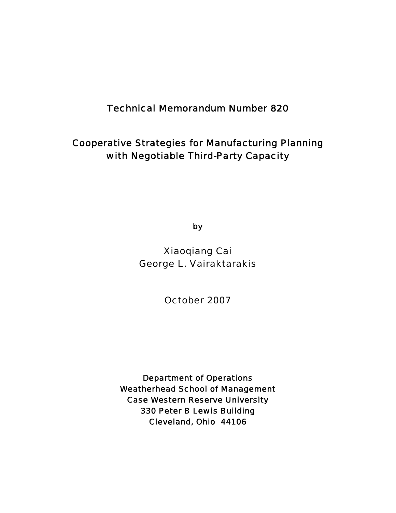# Technical Memorandum Number 820

# Cooperative Strategies for Manufacturing Planning with Negotiable Third-Party Capacity

by

Xiaoqiang Cai George L. Vairaktarakis

October 2007

Department of Operations Weatherhead School of Management Case Western Reserve University 330 Peter B Lewis Building Cleveland, Ohio 44106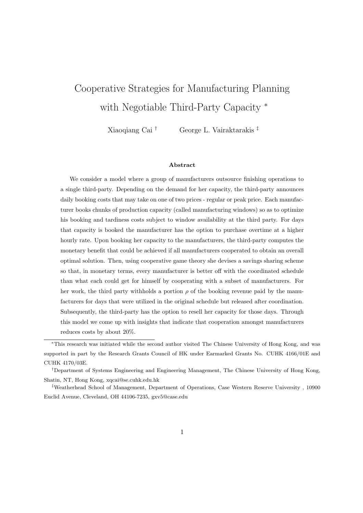# Cooperative Strategies for Manufacturing Planning with Negotiable Third-Party Capacity <sup>∗</sup>

Xiaoqiang Cai † George L. Vairaktarakis ‡

#### Abstract

We consider a model where a group of manufacturers outsource finishing operations to a single third-party. Depending on the demand for her capacity, the third-party announces daily booking costs that may take on one of two prices - regular or peak price. Each manufacturer books chunks of production capacity (called manufacturing windows) so as to optimize his booking and tardiness costs subject to window availability at the third party. For days that capacity is booked the manufacturer has the option to purchase overtime at a higher hourly rate. Upon booking her capacity to the manufacturers, the third-party computes the monetary benefit that could be achieved if all manufacturers cooperated to obtain an overall optimal solution. Then, using cooperative game theory she devises a savings sharing scheme so that, in monetary terms, every manufacturer is better off with the coordinated schedule than what each could get for himself by cooperating with a subset of manufacturers. For her work, the third party withholds a portion  $\rho$  of the booking revenue paid by the manufacturers for days that were utilized in the original schedule but released after coordination. Subsequently, the third-party has the option to resell her capacity for those days. Through this model we come up with insights that indicate that cooperation amongst manufacturers reduces costs by about 20%.

<sup>∗</sup>This research was initiated while the second author visited The Chinese University of Hong Kong, and was supported in part by the Research Grants Council of HK under Earmarked Grants No. CUHK 4166/01E and CUHK 4170/03E.

<sup>†</sup>Department of Systems Engineering and Engineering Management, The Chinese University of Hong Kong, Shatin, NT, Hong Kong, xqcai@se.cuhk.edu.hk

<sup>‡</sup>Weatherhead School of Management, Department of Operations, Case Western Reserve University , 10900 Euclid Avenue, Cleveland, OH 44106-7235, gxv5@case.edu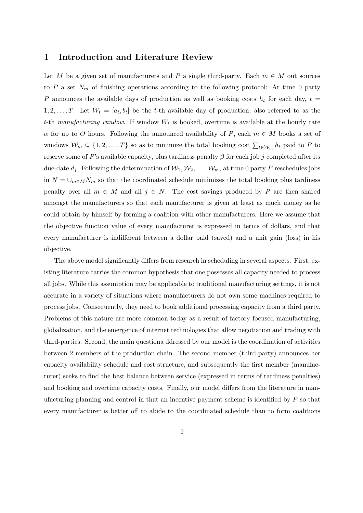#### 1 Introduction and Literature Review

Let M be a given set of manufacturers and P a single third-party. Each  $m \in M$  out sources to P a set  $N_m$  of finishing operations according to the following protocol: At time 0 party P announces the available days of production as well as booking costs  $h_t$  for each day,  $t =$  $1, 2, \ldots, T$ . Let  $W_t = [a_t, b_t]$  be the t-th available day of production; also referred to as the t-th manufacturing window. If window  $W_t$  is booked, overtime is available at the hourly rate  $\alpha$  for up to O hours. Following the announced availability of P, each  $m \in M$  books a set of windows  $\mathcal{W}_m \subseteq \{1, 2, ..., T\}$  so as to minimize the total booking cost  $\sum_{t \in \mathcal{W}_m} h_t$  paid to P to reserve some of P's available capacity, plus tardiness penalty  $\beta$  for each job j completed after its due-date  $d_i$ . Following the determination of  $W_1, W_2, \ldots, W_m$ , at time 0 party P reschedules jobs in  $N = \bigcup_{m \in M} N_m$  so that the coordinated schedule minimizes the total booking plus tardiness penalty over all  $m \in M$  and all  $j \in N$ . The cost savings produced by P are then shared amongst the manufacturers so that each manufacturer is given at least as much money as he could obtain by himself by forming a coalition with other manufacturers. Here we assume that the objective function value of every manufacturer is expressed in terms of dollars, and that every manufacturer is indifferent between a dollar paid (saved) and a unit gain (loss) in his objective.

The above model significantly differs from research in scheduling in several aspects. First, existing literature carries the common hypothesis that one possesses all capacity needed to process all jobs. While this assumption may be applicable to traditional manufacturing settings, it is not accurate in a variety of situations where manufacturers do not own some machines required to process jobs. Consequently, they need to book additional processing capacity from a third party. Problems of this nature are more common today as a result of factory focused manufacturing, globalization, and the emergence of internet technologies that allow negotiation and trading with third-parties. Second, the main questiona ddressed by our model is the coordination of activities between 2 members of the production chain. The second member (third-party) announces her capacity availability schedule and cost structure, and subsequently the first member (manufacturer) seeks to find the best balance between service (expressed in terms of tardiness penalties) and booking and overtime capacity costs. Finally, our model differs from the literature in manufacturing planning and control in that an incentive payment scheme is identified by  $P$  so that every manufacturer is better off to abide to the coordinated schedule than to form coalitions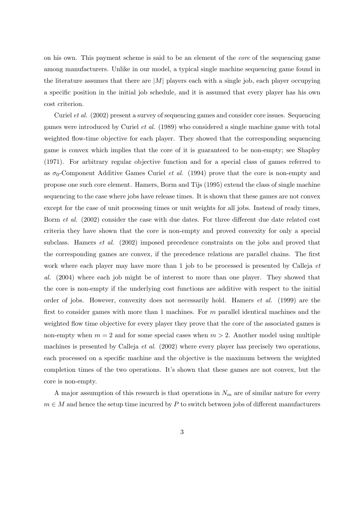on his own. This payment scheme is said to be an element of the core of the sequencing game among manufacturers. Unlike in our model, a typical single machine sequencing game found in the literature assumes that there are  $|M|$  players each with a single job, each player occupying a specific position in the initial job schedule, and it is assumed that every player has his own cost criterion.

Curiel et al. (2002) present a survey of sequencing games and consider core issues. Sequencing games were introduced by Curiel et al. (1989) who considered a single machine game with total weighted flow-time objective for each player. They showed that the corresponding sequencing game is convex which implies that the core of it is guaranteed to be non-empty; see Shapley (1971). For arbitrary regular objective function and for a special class of games referred to as  $\sigma_0$ -Component Additive Games Curiel *et al.* (1994) prove that the core is non-empty and propose one such core element. Hamers, Borm and Tijs (1995) extend the class of single machine sequencing to the case where jobs have release times. It is shown that these games are not convex except for the case of unit processing times or unit weights for all jobs. Instead of ready times, Borm et al. (2002) consider the case with due dates. For three different due date related cost criteria they have shown that the core is non-empty and proved convexity for only a special subclass. Hamers *et al.* (2002) imposed precedence constraints on the jobs and proved that the corresponding games are convex, if the precedence relations are parallel chains. The first work where each player may have more than 1 job to be processed is presented by Calleja *et* al. (2004) where each job might be of interest to more than one player. They showed that the core is non-empty if the underlying cost functions are additive with respect to the initial order of jobs. However, convexity does not necessarily hold. Hamers et al. (1999) are the first to consider games with more than 1 machines. For m parallel identical machines and the weighted flow time objective for every player they prove that the core of the associated games is non-empty when  $m = 2$  and for some special cases when  $m > 2$ . Another model using multiple machines is presented by Calleja *et al.* (2002) where every player has precisely two operations, each processed on a specific machine and the objective is the maximum between the weighted completion times of the two operations. It's shown that these games are not convex, but the core is non-empty.

A major assumption of this research is that operations in  $N_m$  are of similar nature for every  $m \in M$  and hence the setup time incurred by P to switch between jobs of different manufacturers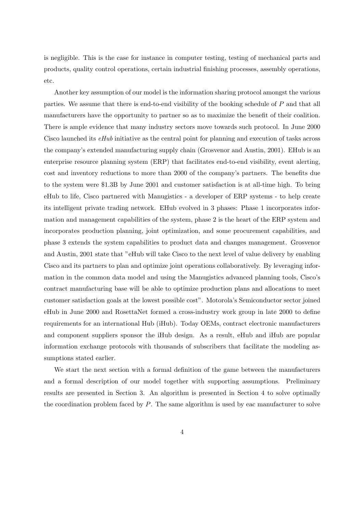is negligible. This is the case for instance in computer testing, testing of mechanical parts and products, quality control operations, certain industrial finishing processes, assembly operations, etc.

Another key assumption of our model is the information sharing protocol amongst the various parties. We assume that there is end-to-end visibility of the booking schedule of P and that all manufacturers have the opportunity to partner so as to maximize the benefit of their coalition. There is ample evidence that many industry sectors move towards such protocol. In June 2000 Cisco launched its eHub initiative as the central point for planning and execution of tasks across the company's extended manufacturing supply chain (Grosvenor and Austin, 2001). EHub is an enterprise resource planning system (ERP) that facilitates end-to-end visibility, event alerting, cost and inventory reductions to more than 2000 of the company's partners. The benefits due to the system were \$1.3B by June 2001 and customer satisfaction is at all-time high. To bring eHub to life, Cisco partnered with Manugistics - a developer of ERP systems - to help create its intelligent private trading network. EHub evolved in 3 phases: Phase 1 incorporates information and management capabilities of the system, phase 2 is the heart of the ERP system and incorporates production planning, joint optimization, and some procurement capabilities, and phase 3 extends the system capabilities to product data and changes management. Grosvenor and Austin, 2001 state that "eHub will take Cisco to the next level of value delivery by enabling Cisco and its partners to plan and optimize joint operations collaboratively. By leveraging information in the common data model and using the Manugistics advanced planning tools, Cisco's contract manufacturing base will be able to optimize production plans and allocations to meet customer satisfaction goals at the lowest possible cost". Motorola's Semiconductor sector joined eHub in June 2000 and RosettaNet formed a cross-industry work group in late 2000 to define requirements for an international Hub (iHub). Today OEMs, contract electronic manufacturers and component suppliers sponsor the iHub design. As a result, eHub and iHub are popular information exchange protocols with thousands of subscribers that facilitate the modeling assumptions stated earlier.

We start the next section with a formal definition of the game between the manufacturers and a formal description of our model together with supporting assumptions. Preliminary results are presented in Section 3. An algorithm is presented in Section 4 to solve optimally the coordination problem faced by  $P$ . The same algorithm is used by eac manufacturer to solve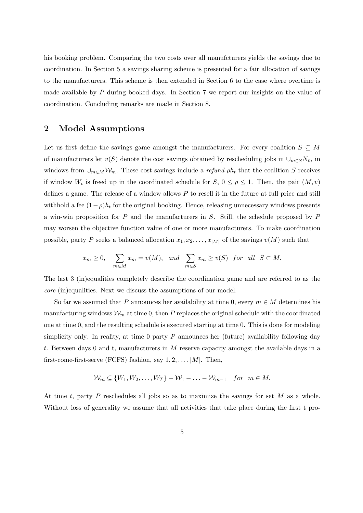his booking problem. Comparing the two costs over all manufcturers yields the savings due to coordination. In Section 5 a savings sharing scheme is presented for a fair allocation of savings to the manufacturers. This scheme is then extended in Section 6 to the case where overtime is made available by  $P$  during booked days. In Section 7 we report our insights on the value of coordination. Concluding remarks are made in Section 8.

## 2 Model Assumptions

Let us first define the savings game amongst the manufacturers. For every coalition  $S \subseteq M$ of manufacturers let  $v(S)$  denote the cost savings obtained by rescheduling jobs in  $\cup_{m\in S}N_m$  in windows from  $\cup_{m\in M} \mathcal{W}_m$ . These cost savings include a *refund*  $\rho h_t$  that the coalition S receives if window  $W_t$  is freed up in the coordinated schedule for  $S, 0 \leq \rho \leq 1$ . Then, the pair  $(M, v)$ defines a game. The release of a window allows  $P$  to resell it in the future at full price and still withhold a fee  $(1-\rho)h_t$  for the original booking. Hence, releasing unnecessary windows presents a win-win proposition for  $P$  and the manufacturers in  $S$ . Still, the schedule proposed by  $P$ may worsen the objective function value of one or more manufacturers. To make coordination possible, party P seeks a balanced allocation  $x_1, x_2, \ldots, x_{|M|}$  of the savings  $v(M)$  such that

$$
x_m \ge 0
$$
,  $\sum_{m \in M} x_m = v(M)$ , and  $\sum_{m \in S} x_m \ge v(S)$  for all  $S \subset M$ .

The last 3 (in)equalities completely describe the coordination game and are referred to as the core (in)equalities. Next we discuss the assumptions of our model.

So far we assumed that P announces her availability at time 0, every  $m \in M$  determines his manufacturing windows  $\mathcal{W}_m$  at time 0, then P replaces the original schedule with the coordinated one at time 0, and the resulting schedule is executed starting at time 0. This is done for modeling simplicity only. In reality, at time 0 party  $P$  announces her (future) availability following day t. Between days 0 and t, manufacturers in M reserve capacity amongst the available days in a first-come-first-serve (FCFS) fashion, say  $1, 2, \ldots, |M|$ . Then,

$$
\mathcal{W}_m \subseteq \{W_1, W_2, \dots, W_T\} - \mathcal{W}_1 - \dots - \mathcal{W}_{m-1} \quad \text{for} \quad m \in M.
$$

At time t, party P reschedules all jobs so as to maximize the savings for set  $M$  as a whole. Without loss of generality we assume that all activities that take place during the first t pro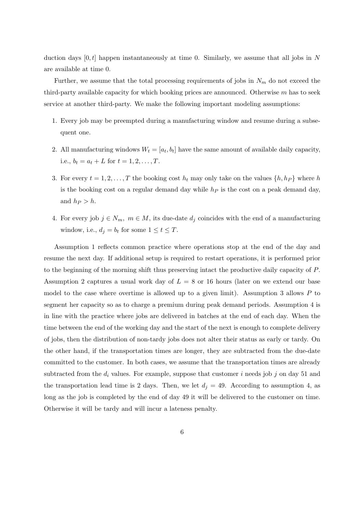duction days  $[0, t]$  happen instantaneously at time 0. Similarly, we assume that all jobs in N are available at time 0.

Further, we assume that the total processing requirements of jobs in  $N_m$  do not exceed the third-party available capacity for which booking prices are announced. Otherwise  $m$  has to seek service at another third-party. We make the following important modeling assumptions:

- 1. Every job may be preempted during a manufacturing window and resume during a subsequent one.
- 2. All manufacturing windows  $W_t = [a_t, b_t]$  have the same amount of available daily capacity, i.e.,  $b_t = a_t + L$  for  $t = 1, 2, ..., T$ .
- 3. For every  $t = 1, 2, ..., T$  the booking cost  $h_t$  may only take on the values  $\{h, h_P\}$  where h is the booking cost on a regular demand day while  $h<sub>P</sub>$  is the cost on a peak demand day, and  $h_P > h$ .
- 4. For every job  $j \in N_m$ ,  $m \in M$ , its due-date  $d_j$  coincides with the end of a manufacturing window, i.e.,  $d_j = b_t$  for some  $1 \le t \le T$ .

Assumption 1 reflects common practice where operations stop at the end of the day and resume the next day. If additional setup is required to restart operations, it is performed prior to the beginning of the morning shift thus preserving intact the productive daily capacity of P. Assumption 2 captures a usual work day of  $L = 8$  or 16 hours (later on we extend our base model to the case where overtime is allowed up to a given limit). Assumption 3 allows  $P$  to segment her capacity so as to charge a premium during peak demand periods. Assumption 4 is in line with the practice where jobs are delivered in batches at the end of each day. When the time between the end of the working day and the start of the next is enough to complete delivery of jobs, then the distribution of non-tardy jobs does not alter their status as early or tardy. On the other hand, if the transportation times are longer, they are subtracted from the due-date committed to the customer. In both cases, we assume that the transportation times are already subtracted from the  $d_i$  values. For example, suppose that customer i needs job j on day 51 and the transportation lead time is 2 days. Then, we let  $d_j = 49$ . According to assumption 4, as long as the job is completed by the end of day 49 it will be delivered to the customer on time. Otherwise it will be tardy and will incur a lateness penalty.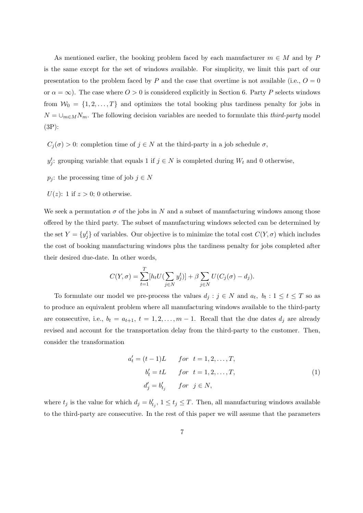As mentioned earlier, the booking problem faced by each manufacturer  $m \in M$  and by P is the same except for the set of windows available. For simplicity, we limit this part of our presentation to the problem faced by P and the case that overtime is not available (i.e.,  $O = 0$ or  $\alpha = \infty$ ). The case where  $0 > 0$  is considered explicitly in Section 6. Party P selects windows from  $W_0 = \{1, 2, ..., T\}$  and optimizes the total booking plus tardiness penalty for jobs in  $N = \bigcup_{m \in M} N_m$ . The following decision variables are needed to formulate this *third-party* model (3P):

- $C_i(\sigma) > 0$ : completion time of  $j \in N$  at the third-party in a job schedule  $\sigma$ ,
- $y_j^t$ : grouping variable that equals 1 if  $j \in N$  is completed during  $W_t$  and 0 otherwise,
- $p_j$ : the processing time of job  $j \in N$
- $U(z)$ : 1 if  $z > 0$ ; 0 otherwise.

We seek a permutation  $\sigma$  of the jobs in N and a subset of manufacturing windows among those offered by the third party. The subset of manufacturing windows selected can be determined by the set  $Y = \{y_j^t\}$  of variables. Our objective is to minimize the total cost  $C(Y, \sigma)$  which includes the cost of booking manufacturing windows plus the tardiness penalty for jobs completed after their desired due-date. In other words,

$$
C(Y, \sigma) = \sum_{t=1}^{T} [h_t U(\sum_{j \in N} y_j^t)] + \beta \sum_{j \in N} U(C_j(\sigma) - d_j).
$$

To formulate our model we pre-process the values  $d_j : j \in N$  and  $a_t, b_t : 1 \le t \le T$  so as to produce an equivalent problem where all manufacturing windows available to the third-party are consecutive, i.e.,  $b_t = a_{t+1}, t = 1, 2, ..., m-1$ . Recall that the due dates  $d_j$  are already revised and account for the transportation delay from the third-party to the customer. Then, consider the transformation

$$
a'_t = (t-1)L \qquad for \t t = 1, 2, \dots, T,
$$
  
\n
$$
b'_t = tL \qquad for \t t = 1, 2, \dots, T,
$$
  
\n
$$
d'_j = b'_{t_j} \qquad for \t j \in N,
$$
  
\n(1)

where  $t_j$  is the value for which  $d_j = b'_{t_j}$ ,  $1 \le t_j \le T$ . Then, all manufacturing windows available to the third-party are consecutive. In the rest of this paper we will assume that the parameters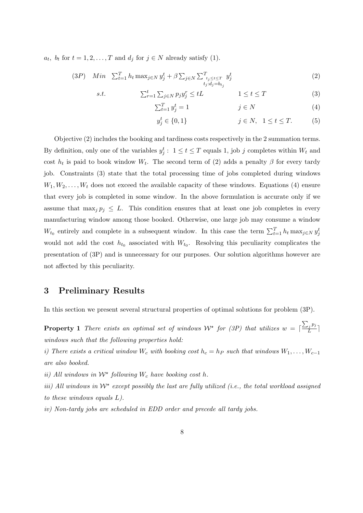$a_t$ ,  $b_t$  for  $t = 1, 2, ..., T$  and  $d_j$  for  $j \in N$  already satisfy (1).

 $s.t.$ 

$$
(3P) \quad Min \quad \sum_{t=1}^{T} h_t \max_{j \in N} y_j^t + \beta \sum_{j \in N} \sum_{\substack{t_j \le t \le T \\ t_j : d_j = b_{t_j}}} y_j^t \tag{2}
$$

$$
\sum_{r=1}^{t} \sum_{j \in N} p_j y_j^r \le tL \qquad \qquad 1 \le t \le T \tag{3}
$$

$$
\sum_{t=1}^{T} y_j^t = 1 \qquad \qquad j \in N \tag{4}
$$

$$
y_j^t \in \{0, 1\} \qquad j \in N, \quad 1 \le t \le T. \tag{5}
$$

Objective (2) includes the booking and tardiness costs respectively in the 2 summation terms. By definition, only one of the variables  $y_j^t: 1 \le t \le T$  equals 1, job j completes within  $W_t$  and cost  $h_t$  is paid to book window  $W_t$ . The second term of (2) adds a penalty  $\beta$  for every tardy job. Constraints (3) state that the total processing time of jobs completed during windows  $W_1, W_2, \ldots, W_t$  does not exceed the available capacity of these windows. Equations (4) ensure that every job is completed in some window. In the above formulation is accurate only if we assume that  $\max_j p_j \leq L$ . This condition ensures that at least one job completes in every manufacturing window among those booked. Otherwise, one large job may consume a window  $W_{t_0}$  entirely and complete in a subsequent window. In this case the term  $\sum_{t=1}^{T} h_t \max_{j \in N} y_j^t$ would not add the cost  $h_{t_0}$  associated with  $W_{t_0}$ . Resolving this peculiarity complicates the presentation of (3P) and is unnecessary for our purposes. Our solution algorithms however are not affected by this peculiarity.

# 3 Preliminary Results

In this section we present several structural properties of optimal solutions for problem (3P).

**Property 1** There exists an optimal set of windows  $W^*$  for (3P) that utilizes  $w = \lceil \frac{\sum_j p_j}{L} \rceil$  $\frac{\ell j\ ^{FJ}}{L}\Big]$ windows such that the following properties hold:

i) There exists a critical window W<sub>c</sub> with booking cost  $h_c = h_P$  such that windows  $W_1, \ldots, W_{c-1}$ are also booked.

ii) All windows in  $W^*$  following  $W_c$  have booking cost h.

iii) All windows in  $W^*$  except possibly the last are fully utilized (i.e., the total workload assigned to these windows equals L).

iv) Non-tardy jobs are scheduled in EDD order and precede all tardy jobs.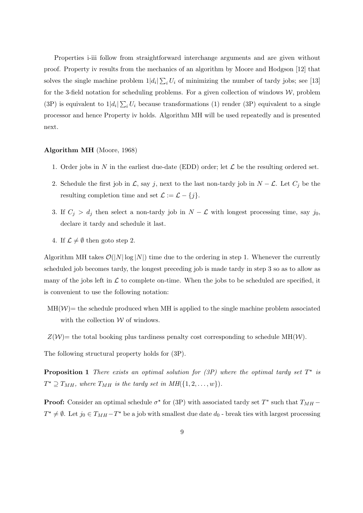Properties i-iii follow from straightforward interchange arguments and are given without proof. Property iv results from the mechanics of an algorithm by Moore and Hodgson [12] that solves the single machine problem  $1|d_i| \sum_i U_i$  of minimizing the number of tardy jobs; see [13] for the 3-field notation for scheduling problems. For a given collection of windows  $W$ , problem (3P) is equivalent to  $1|d_i|\sum_i U_i$  because transformations (1) render (3P) equivalent to a single processor and hence Property iv holds. Algorithm MH will be used repeatedly and is presented next.

#### Algorithm MH (Moore, 1968)

- 1. Order jobs in N in the earliest due-date (EDD) order; let  $\mathcal L$  be the resulting ordered set.
- 2. Schedule the first job in  $\mathcal{L}$ , say j, next to the last non-tardy job in  $N \mathcal{L}$ . Let  $C_j$  be the resulting completion time and set  $\mathcal{L} := \mathcal{L} - \{j\}.$
- 3. If  $C_j > d_j$  then select a non-tardy job in  $N \mathcal{L}$  with longest processing time, say j<sub>0</sub>, declare it tardy and schedule it last.
- 4. If  $\mathcal{L} \neq \emptyset$  then goto step 2.

Algorithm MH takes  $\mathcal{O}(|N| \log |N|)$  time due to the ordering in step 1. Whenever the currently scheduled job becomes tardy, the longest preceding job is made tardy in step 3 so as to allow as many of the jobs left in  $\mathcal L$  to complete on-time. When the jobs to be scheduled are specified, it is convenient to use the following notation:

- $MH(W)$  the schedule produced when MH is applied to the single machine problem associated with the collection  $\mathcal W$  of windows.
- $Z(\mathcal{W})$  the total booking plus tardiness penalty cost corresponding to schedule MH(W).

The following structural property holds for (3P).

**Proposition 1** There exists an optimal solution for (3P) where the optimal tardy set  $T^*$  is  $T^* \supseteq T_{MH}$ , where  $T_{MH}$  is the tardy set in  $MH({1, 2, ..., w}).$ 

**Proof:** Consider an optimal schedule  $\sigma^*$  for (3P) with associated tardy set  $T^*$  such that  $T_{MH}$  $T^* \neq \emptyset$ . Let  $j_0 \in T_{MH} - T^*$  be a job with smallest due date  $d_0$  - break ties with largest processing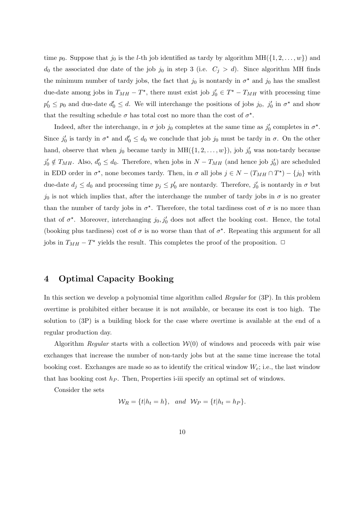time  $p_0$ . Suppose that  $j_0$  is the *l*-th job identified as tardy by algorithm MH( $\{1, 2, \ldots, w\}$ ) and  $d_0$  the associated due date of the job  $j_0$  in step 3 (i.e.  $C_j > d$ ). Since algorithm MH finds the minimum number of tardy jobs, the fact that  $j_0$  is nontardy in  $\sigma^*$  and  $j_0$  has the smallest due-date among jobs in  $T_{MH} - T^*$ , there must exist job  $j'_0 \in T^* - T_{MH}$  with processing time  $p'_0 \leq p_0$  and due-date  $d'_0 \leq d$ . We will interchange the positions of jobs  $j_0$ ,  $j'_0$  in  $\sigma^*$  and show that the resulting schedule  $\sigma$  has total cost no more than the cost of  $\sigma^*$ .

Indeed, after the interchange, in  $\sigma$  job  $j_0$  completes at the same time as  $j'_0$  completes in  $\sigma^*$ . Since  $j'_0$  is tardy in  $\sigma^*$  and  $d'_0 \leq d_0$  we conclude that job  $j_0$  must be tardy in  $\sigma$ . On the other hand, observe that when  $j_0$  became tardy in  $\text{MH}(\{1, 2, \ldots, w\})$ , job  $j'_0$  was non-tardy because  $j'_0 \notin T_{MH}$ . Also,  $d'_0 \leq d_0$ . Therefore, when jobs in  $N - T_{MH}$  (and hence job  $j'_0$ ) are scheduled in EDD order in  $\sigma^*$ , none becomes tardy. Then, in  $\sigma$  all jobs  $j \in N - (T_{MH} \cap T^*) - \{j_0\}$  with due-date  $d_j \leq d_0$  and processing time  $p_j \leq p'_0$  are nontardy. Therefore,  $j'_0$  is nontardy in  $\sigma$  but  $j_0$  is not which implies that, after the interchange the number of tardy jobs in  $\sigma$  is no greater than the number of tardy jobs in  $\sigma^*$ . Therefore, the total tardiness cost of  $\sigma$  is no more than that of  $\sigma^*$ . Moreover, interchanging  $j_0, j'_0$  does not affect the booking cost. Hence, the total (booking plus tardiness) cost of  $\sigma$  is no worse than that of  $\sigma^*$ . Repeating this argument for all jobs in  $T_{MH} - T^*$  yields the result. This completes the proof of the proposition.  $\Box$ 

# 4 Optimal Capacity Booking

In this section we develop a polynomial time algorithm called *Regular* for (3P). In this problem overtime is prohibited either because it is not available, or because its cost is too high. The solution to (3P) is a building block for the case where overtime is available at the end of a regular production day.

Algorithm Regular starts with a collection  $W(0)$  of windows and proceeds with pair wise exchanges that increase the number of non-tardy jobs but at the same time increase the total booking cost. Exchanges are made so as to identify the critical window  $W_c$ ; i.e., the last window that has booking cost  $h_P$ . Then, Properties i-iii specify an optimal set of windows.

Consider the sets

$$
\mathcal{W}_R = \{t | h_t = h\}, \quad and \quad \mathcal{W}_P = \{t | h_t = h_P\}.
$$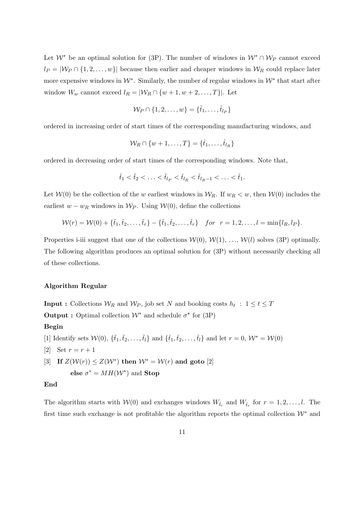Let  $W^*$  be an optimal solution for (3P). The number of windows in  $W^* \cap W_P$  cannot exceed  $l_P = |\mathcal{W}_P \cap \{1, 2, ..., w\}|$  because then earlier and cheaper windows in  $\mathcal{W}_R$  could replace later more expensive windows in  $W^*$ . Similarly, the number of regular windows in  $W^*$  that start after window  $W_w$  cannot exceed  $l_R = |\mathcal{W}_R \cap \{w+1, w+2, \ldots, T\}|$ . Let

$$
\mathcal{W}_P \cap \{1, 2, \ldots, w\} = \{\tilde{t}_1, \ldots, \tilde{t}_{l_P}\}
$$

ordered in increasing order of start times of the corresponding manufacturing windows, and

$$
\mathcal{W}_R \cap \{w+1,\ldots,T\} = \{\hat{t}_1,\ldots,\hat{t}_{l_R}\}
$$

ordered in decreasing order of start times of the corresponding windows. Note that,

$$
\tilde{t}_1 < \tilde{t}_2 < \ldots < \tilde{t}_{l_P} < \hat{t}_{l_R} < \hat{t}_{l_R-1} < \ldots < \hat{t}_1.
$$

Let  $W(0)$  be the collection of the w earliest windows in  $W_R$ . If  $w_R < w$ , then  $W(0)$  includes the earliest  $w - w_R$  windows in  $W_P$ . Using  $W(0)$ , define the collections

$$
\mathcal{W}(r) = \mathcal{W}(0) + \{\tilde{t}_1, \tilde{t}_2, \dots, \tilde{t}_r\} - \{\hat{t}_1, \hat{t}_2, \dots, \hat{t}_r\} \quad \text{for} \quad r = 1, 2, \dots, l = \min\{l_R, l_P\}.
$$

Properties i-iii suggest that one of the collections  $W(0), W(1), \ldots, W(l)$  solves (3P) optimally. The following algorithm produces an optimal solution for (3P) without necessarily checking all of these collections.

#### Algorithm Regular

**Input :** Collections  $W_R$  and  $W_P$ , job set N and booking costs  $h_t$  :  $1 \le t \le T$ **Output :** Optimal collection  $W^*$  and schedule  $\sigma^*$  for (3P) Begin

[1] Identify sets  $W(0)$ ,  $\{\tilde{t}_1,\tilde{t}_2,\ldots,\tilde{t}_l\}$  and  $\{\hat{t}_1,\hat{t}_2,\ldots,\hat{t}_l\}$  and let  $r = 0$ ,  $W^* = W(0)$ 

- [2] Set  $r = r + 1$
- [3] If  $Z(\mathcal{W}(r)) \leq Z(\mathcal{W}^*)$  then  $\mathcal{W}^* = \mathcal{W}(r)$  and goto [2]

else  $\sigma^* = MH(W^*)$  and **Stop** 

#### End

The algorithm starts with  $W(0)$  and exchanges windows  $W_{\tilde{t}_r}$  and  $W_{\hat{t}_r}$  for  $r = 1, 2, ..., l$ . The first time such exchange is not profitable the algorithm reports the optimal collection  $\mathcal{W}^*$  and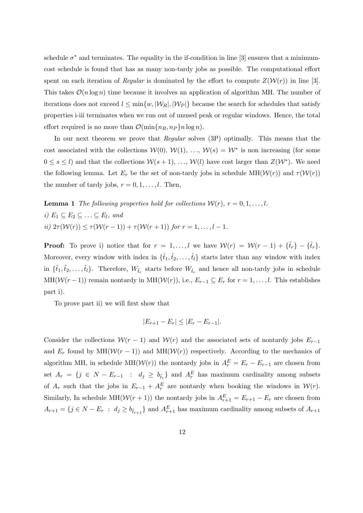schedule  $\sigma^*$  and terminates. The equality in the if-condition in line [3] ensures that a minimumcost schedule is found that has as many non-tardy jobs as possible. The computational effort spent on each iteration of Regular is dominated by the effort to compute  $Z(\mathcal{W}(r))$  in line [3]. This takes  $\mathcal{O}(n \log n)$  time because it involves an application of algorithm MH. The number of iterations does not exceed  $l \leq \min\{w, |\mathcal{W}_R|, |\mathcal{W}_P|\}$  because the search for schedules that satisfy properties i-iii terminates when we run out of unused peak or regular windows. Hence, the total effort required is no more than  $\mathcal{O}(\min\{n_R, n_P\}n \log n)$ .

In our next theorem we prove that Regular solves (3P) optimally. This means that the cost associated with the collections  $W(0), W(1), ..., W(s) = W^*$  is non-increasing (for some  $0 \leq s \leq l$  and that the collections  $\mathcal{W}(s+1), \ldots, \mathcal{W}(l)$  have cost larger than  $Z(\mathcal{W}^*)$ . We need the following lemma. Let  $E_r$  be the set of non-tardy jobs in schedule MH( $\mathcal{W}(r)$ ) and  $\tau(\mathcal{W}(r))$ the number of tardy jobs,  $r = 0, 1, \ldots, l$ . Then,

**Lemma 1** The following properties hold for collections  $W(r)$ ,  $r = 0, 1, \ldots, l$ . i)  $E_1 \subseteq E_2 \subseteq \ldots \subseteq E_l$ , and ii)  $2\tau(\mathcal{W}(r)) \leq \tau(\mathcal{W}(r-1)) + \tau(\mathcal{W}(r+1))$  for  $r = 1, ..., l-1$ .

**Proof:** To prove i) notice that for  $r = 1, \ldots, l$  we have  $W(r) = W(r - 1) + {\tilde{t}}_r - {\tilde{t}}_r$ . Moreover, every window with index in  $\{\hat{t}_1, \hat{t}_2, \dots, \hat{t}_l\}$  starts later than any window with index in  $\{\tilde{t}_1, \tilde{t}_2, \ldots, \tilde{t}_l\}$ . Therefore,  $W_{\tilde{t}_r}$  starts before  $W_{\hat{t}_r}$  and hence all non-tardy jobs in schedule MH( $W(r-1)$ ) remain nontardy in MH( $W(r)$ ), i.e.,  $E_{r-1} \subseteq E_r$  for  $r = 1, \ldots, l$ . This establishes part i).

To prove part ii) we will first show that

$$
|E_{r+1} - E_r| \leq |E_r - E_{r-1}|.
$$

Consider the collections  $W(r-1)$  and  $W(r)$  and the associated sets of nontardy jobs  $E_{r-1}$ and  $E_r$  found by MH( $W(r-1)$ ) and MH( $W(r)$ ) respectively. According to the mechanics of algorithm MH, in schedule MH( $W(r)$ ) the nontardy jobs in  $A_r^E = E_r - E_{r-1}$  are chosen from set  $A_r = \{j \in N - E_{r-1} : d_j \ge b_{\tilde{t}_r}\}\$ and  $A_r^E$  has maximum cardinality among subsets of  $A_r$  such that the jobs in  $E_{r-1} + A_r^E$  are nontardy when booking the windows in  $W(r)$ . Similarly, In schedule  $MH(\mathcal{W}(r+1))$  the nontardy jobs in  $A_{r+1}^E = E_{r+1} - E_r$  are chosen from  $A_{r+1} = \{j \in N - E_r : d_j \ge b_{\tilde{t}_{r+1}}\}$  and  $A_{r+1}^E$  has maximum cardinality among subsets of  $A_{r+1}$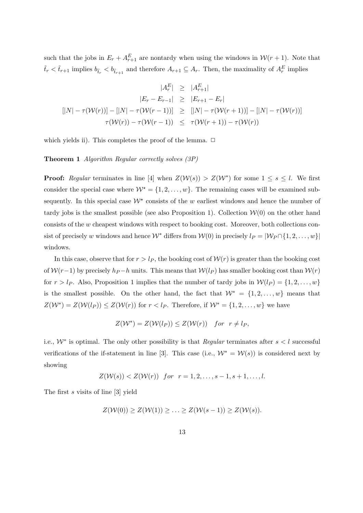such that the jobs in  $E_r + A_{r+1}^E$  are nontardy when using the windows in  $W(r + 1)$ . Note that  $\tilde{t}_r < \tilde{t}_{r+1}$  implies  $b_{\tilde{t}_r} < b_{\tilde{t}_{r+1}}$  and therefore  $A_{r+1} \subseteq A_r$ . Then, the maximality of  $A_r^E$  implies

$$
|A_r^E| \ge |A_{r+1}^E|
$$
  
\n
$$
|E_r - E_{r-1}| \ge |E_{r+1} - E_r|
$$
  
\n
$$
[|N| - \tau(W(r))] - [|N| - \tau(W(r-1))] \ge [|N| - \tau(W(r+1))] - [|N| - \tau(W(r))]
$$
  
\n
$$
\tau(W(r)) - \tau(W(r-1)) \le \tau(W(r+1)) - \tau(W(r))
$$

which yields ii). This completes the proof of the lemma.  $\Box$ 

Theorem 1 Algorithm Regular correctly solves (3P)

**Proof:** Regular terminates in line [4] when  $Z(\mathcal{W}(s)) > Z(\mathcal{W}^*)$  for some  $1 \leq s \leq l$ . We first consider the special case where  $W^* = \{1, 2, ..., w\}$ . The remaining cases will be examined subsequently. In this special case  $W^*$  consists of the w earliest windows and hence the number of tardy jobs is the smallest possible (see also Proposition 1). Collection  $W(0)$  on the other hand consists of the w cheapest windows with respect to booking cost. Moreover, both collections consist of precisely w windows and hence  $\mathcal{W}^*$  differs from  $\mathcal{W}(0)$  in precisely  $l_P = |\mathcal{W}_P \cap \{1, 2, ..., w\}|$ windows.

In this case, observe that for  $r > l_P$ , the booking cost of  $W(r)$  is greater than the booking cost of  $W(r-1)$  by precisely  $h_P - h$  units. This means that  $W(l_P)$  has smaller booking cost than  $W(r)$ for  $r > l_P$ . Also, Proposition 1 implies that the number of tardy jobs in  $W(l_P) = \{1, 2, ..., w\}$ is the smallest possible. On the other hand, the fact that  $\mathcal{W}^* = \{1, 2, ..., w\}$  means that  $Z(\mathcal{W}^*) = Z(\mathcal{W}(l_P)) \leq Z(\mathcal{W}(r))$  for  $r < l_P$ . Therefore, if  $\mathcal{W}^* = \{1, 2, ..., w\}$  we have

$$
Z(\mathcal{W}^*) = Z(\mathcal{W}(l_P)) \le Z(\mathcal{W}(r)) \quad for \ \ r \neq l_P,
$$

i.e.,  $W^*$  is optimal. The only other possibility is that *Regular* terminates after  $s < l$  successful verifications of the if-statement in line [3]. This case (i.e.,  $W^* = W(s)$ ) is considered next by showing

$$
Z(W(s)) < Z(W(r))
$$
 for  $r = 1, 2, ..., s - 1, s + 1, ..., l$ .

The first s visits of line [3] yield

$$
Z(\mathcal{W}(0)) \geq Z(\mathcal{W}(1)) \geq \ldots \geq Z(\mathcal{W}(s-1)) \geq Z(\mathcal{W}(s)).
$$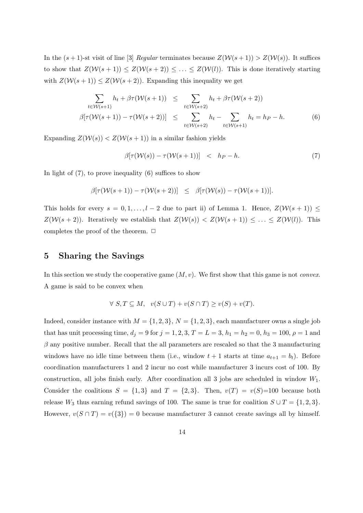In the  $(s + 1)$ -st visit of line [3] Regular terminates because  $Z(\mathcal{W}(s + 1)) > Z(\mathcal{W}(s))$ . It suffices to show that  $Z(\mathcal{W}(s+1)) \leq Z(\mathcal{W}(s+2)) \leq \ldots \leq Z(\mathcal{W}(l)).$  This is done iteratively starting with  $Z(\mathcal{W}(s+1)) \leq Z(\mathcal{W}(s+2))$ . Expanding this inequality we get

$$
\sum_{t \in \mathcal{W}(s+1)} h_t + \beta \tau(\mathcal{W}(s+1)) \leq \sum_{t \in \mathcal{W}(s+2)} h_t + \beta \tau(\mathcal{W}(s+2))
$$
  

$$
\beta[\tau(\mathcal{W}(s+1)) - \tau(\mathcal{W}(s+2))] \leq \sum_{t \in \mathcal{W}(s+2)} h_t - \sum_{t \in \mathcal{W}(s+1)} h_t = h_P - h.
$$
 (6)

Expanding  $Z(\mathcal{W}(s)) < Z(\mathcal{W}(s+1))$  in a similar fashion yields

$$
\beta[\tau(\mathcal{W}(s)) - \tau(\mathcal{W}(s+1))] \quad < \quad h_P - h. \tag{7}
$$

In light of  $(7)$ , to prove inequality  $(6)$  suffices to show

$$
\beta[\tau(\mathcal{W}(s+1))-\tau(\mathcal{W}(s+2))] \leq \beta[\tau(\mathcal{W}(s))-\tau(\mathcal{W}(s+1))].
$$

This holds for every  $s = 0, 1, \ldots, l - 2$  due to part ii) of Lemma 1. Hence,  $Z(\mathcal{W}(s + 1)) \leq$  $Z(\mathcal{W}(s+2))$ . Iteratively we establish that  $Z(\mathcal{W}(s)) < Z(\mathcal{W}(s+1)) \leq \ldots \leq Z(\mathcal{W}(l))$ . This completes the proof of the theorem.  $\Box$ 

## 5 Sharing the Savings

In this section we study the cooperative game  $(M, v)$ . We first show that this game is not *convex*. A game is said to be convex when

$$
\forall S, T \subseteq M, \quad v(S \cup T) + v(S \cap T) \ge v(S) + v(T).
$$

Indeed, consider instance with  $M = \{1, 2, 3\}$ ,  $N = \{1, 2, 3\}$ , each manufacturer owns a single job that has unit processing time,  $d_j = 9$  for  $j = 1, 2, 3, T = L = 3, h_1 = h_2 = 0, h_3 = 100, \rho = 1$  and  $\beta$  any positive number. Recall that the all parameters are rescaled so that the 3 manufacturing windows have no idle time between them (i.e., window  $t + 1$  starts at time  $a_{t+1} = b_t$ ). Before coordination manufacturers 1 and 2 incur no cost while manufacturer 3 incurs cost of 100. By construction, all jobs finish early. After coordination all 3 jobs are scheduled in window  $W_1$ . Consider the coalitions  $S = \{1,3\}$  and  $T = \{2,3\}$ . Then,  $v(T) = v(S) = 100$  because both release  $W_3$  thus earning refund savings of 100. The same is true for coalition  $S \cup T = \{1, 2, 3\}.$ However,  $v(S \cap T) = v({3}) = 0$  because manufacturer 3 cannot create savings all by himself.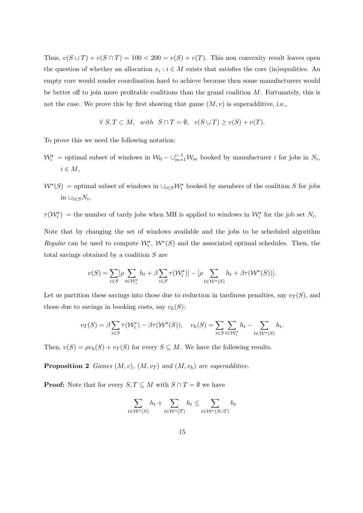Thus,  $v(S \cup T) + v(S \cap T) = 100 < 200 = v(S) + v(T)$ . This non convexity result leaves open the question of whether an allocation  $x_i : i \in M$  exists that satisfies the core (in)equalities. An empty core would render coordination hard to achieve because then some manufacturers would be better off to join more profitable coalitions than the grand coalition  $M$ . Fortunately, this is not the case. We prove this by first showing that game  $(M, v)$  is superadditive, i.e.,

$$
\forall S, T \subset M, \quad with \quad S \cap T = \emptyset, \quad v(S \cup T) \ge v(S) + v(T).
$$

To prove this we need the following notation:

- $\mathcal{W}_i^*$  = optimal subset of windows in  $\mathcal{W}_0 \bigcup_{m=1}^{i-1} \mathcal{W}_m$  booked by manufacturer *i* for jobs in  $N_i$ ,  $i \in M$ ,
- $W^{\star}(S)$  = optimal subset of windows in  $\cup_{i\in S}W_i^{\star}$  booked by members of the coalition S for jobs in  $\cup_{i\in S}N_i$ ,

 $\tau(W_i^{\star})$  = the number of tardy jobs when MH is applied to windows in  $W_i^{\star}$  for the job set  $N_i$ .

Note that by changing the set of windows available and the jobs to be scheduled algorithm Regular can be used to compute  $\mathcal{W}_i^*$ ,  $\mathcal{W}^*(S)$  and the associated optimal schedules. Then, the total savings obtained by a coalition S are

$$
v(S) = \sum_{i \in S} [\rho \sum_{t \in \mathcal{W}_i^{\star}} h_t + \beta \sum_{i \in S} \tau(\mathcal{W}_i^{\star})] - [\rho \sum_{t \in \mathcal{W}^{\star}(S)} h_t + \beta \tau(\mathcal{W}^{\star}(S))].
$$

Let us partition these savings into those due to reduction in tardiness penalties, say  $v_T(S)$ , and those due to savings in booking costs, say  $v_h(S)$ :

$$
v_T(S) = \beta \sum_{i \in S} \tau(W_i^*) - \beta \tau(W^*(S)), \quad v_h(S) = \sum_{i \in S} \sum_{t \in W_i^*} h_t - \sum_{t \in W^*(S)} h_t.
$$

Then,  $v(S) = \rho v_h(S) + v_T(S)$  for every  $S \subseteq M$ . We have the following results.

**Proposition 2** Games  $(M, v)$ ,  $(M, v_T)$  and  $(M, v_h)$  are superadditive.

**Proof:** Note that for every  $S, T \subseteq M$  with  $S \cap T = \emptyset$  we have

$$
\sum_{t \in \mathcal{W}^{\star}(S)} h_t + \sum_{t \in \mathcal{W}^{\star}(T)} h_t \le \sum_{t \in \mathcal{W}^{\star}(S \cup T)} h_t
$$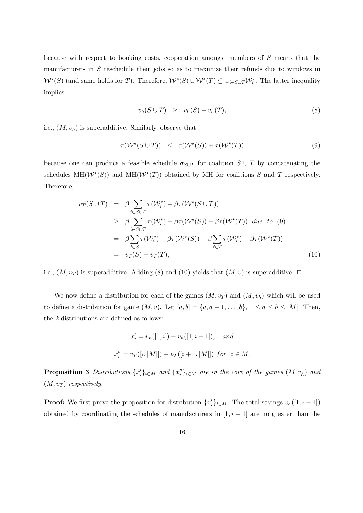because with respect to booking costs, cooperation amongst members of S means that the manufacturers in S reschedule their jobs so as to maximize their refunds due to windows in  $W^*(S)$  (and same holds for T). Therefore,  $W^*(S) \cup W^*(T) \subseteq \bigcup_{i \in S \cup T} \mathcal{W}_i^*$ . The latter inequality implies

$$
v_h(S \cup T) \ge v_h(S) + v_h(T), \tag{8}
$$

i.e.,  $(M, v_h)$  is superadditive. Similarly, observe that

$$
\tau(\mathcal{W}^{\star}(S \cup T)) \leq \tau(\mathcal{W}^{\star}(S)) + \tau(\mathcal{W}^{\star}(T)) \tag{9}
$$

because one can produce a feasible schedule  $\sigma_{S\cup T}$  for coalition  $S\cup T$  by concatenating the schedules  $MH(W^*(S))$  and  $MH(W^*(T))$  obtained by MH for coalitions S and T respectively. Therefore,

$$
v_T(S \cup T) = \beta \sum_{i \in S \cup T} \tau(W_i^*) - \beta \tau(W^*(S \cup T))
$$
  
\n
$$
\geq \beta \sum_{i \in S \cup T} \tau(W_i^*) - \beta \tau(W^*(S)) - \beta \tau(W^*(T)) \quad due \quad to \quad (9)
$$
  
\n
$$
= \beta \sum_{i \in S} \tau(W_i^*) - \beta \tau(W^*(S)) + \beta \sum_{i \in T} \tau(W_i^*) - \beta \tau(W^*(T))
$$
  
\n
$$
= v_T(S) + v_T(T), \qquad (10)
$$

i.e.,  $(M, v_T)$  is superadditive. Adding (8) and (10) yields that  $(M, v)$  is superadditive.  $\Box$ 

We now define a distribution for each of the games  $(M, v_T)$  and  $(M, v_h)$  which will be used to define a distribution for game  $(M, v)$ . Let  $[a, b] = \{a, a + 1, \ldots, b\}$ ,  $1 \le a \le b \le |M|$ . Then, the 2 distributions are defined as follows:

$$
x'_{i} = v_{h}([1, i]) - v_{h}([1, i - 1]), \quad and
$$
  

$$
x''_{i} = v_{T}([i, |M|]) - v_{T}([i + 1, |M|]) \text{ for } i \in M.
$$

**Proposition 3** Distributions  $\{x_i'\}_{i \in M}$  and  $\{x_i''\}_{i \in M}$  are in the core of the games  $(M, v_h)$  and  $(M, v_T)$  respectively.

**Proof:** We first prove the proposition for distribution  $\{x_i'\}_{i \in M}$ . The total savings  $v_h([1, i-1])$ obtained by coordinating the schedules of manufacturers in  $[1, i - 1]$  are no greater than the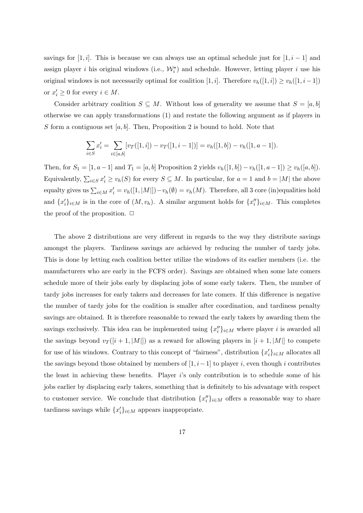savings for [1, i]. This is because we can always use an optimal schedule just for [1, i – 1] and assign player *i* his original windows (i.e.,  $\mathcal{W}_i^{\star}$ ) and schedule. However, letting player *i* use his original windows is not necessarily optimal for coalition [1, i]. Therefore  $v_h([1, i]) \ge v_h([1, i-1])$ or  $x'_i \geq 0$  for every  $i \in M$ .

Consider arbitrary coalition  $S \subseteq M$ . Without loss of generality we assume that  $S = [a, b]$ otherwise we can apply transformations (1) and restate the following argument as if players in S form a contiguous set  $[a, b]$ . Then, Proposition 2 is bound to hold. Note that

$$
\sum_{i \in S} x'_i = \sum_{i \in [a,b]} [v_T([1,i]) - v_T([1,i-1])] = v_h([1,b]) - v_h([1,a-1]).
$$

Then, for  $S_1 = [1, a-1]$  and  $T_1 = [a, b]$  Proposition 2 yields  $v_h([1, b]) - v_h([1, a-1]) \ge v_h([a, b]).$ Equivalently,  $\sum_{i\in S} x_i' \ge v_h(S)$  for every  $S \subseteq M$ . In particular, for  $a = 1$  and  $b = |M|$  the above equalty gives us  $\sum_{i\in M} x_i' = v_h([1, |M|]) - v_h(\emptyset) = v_h(M)$ . Therefore, all 3 core (in)equalities hold and  $\{x'_i\}_{i\in M}$  is in the core of  $(M, v_h)$ . A similar argument holds for  $\{x''_i\}_{i\in M}$ . This completes the proof of the proposition.  $\Box$ 

The above 2 distributions are very different in regards to the way they distribute savings amongst the players. Tardiness savings are achieved by reducing the number of tardy jobs. This is done by letting each coalition better utilize the windows of its earlier members (i.e. the manufacturers who are early in the FCFS order). Savings are obtained when some late comers schedule more of their jobs early by displacing jobs of some early takers. Then, the number of tardy jobs increases for early takers and decreases for late comers. If this difference is negative the number of tardy jobs for the coalition is smaller after coordination, and tardiness penalty savings are obtained. It is therefore reasonable to reward the early takers by awarding them the savings exclusively. This idea can be implemented using  $\{x''_i\}_{i\in M}$  where player i is awarded all the savings beyond  $v_T([i+1, |M|])$  as a reward for allowing players in  $[i+1, |M|]$  to compete for use of his windows. Contrary to this concept of "fairness", distribution  $\{x_i'\}_{i\in M}$  allocates all the savings beyond those obtained by members of  $[1, i-1]$  to player i, even though i contributes the least in achieving these benefits. Player  $i$ 's only contribution is to schedule some of his jobs earlier by displacing early takers, something that is definitely to his advantage with respect to customer service. We conclude that distribution  $\{x_i''\}_{i\in M}$  offers a reasonable way to share tardiness savings while  $\{x_i'\}_{i \in M}$  appears inappropriate.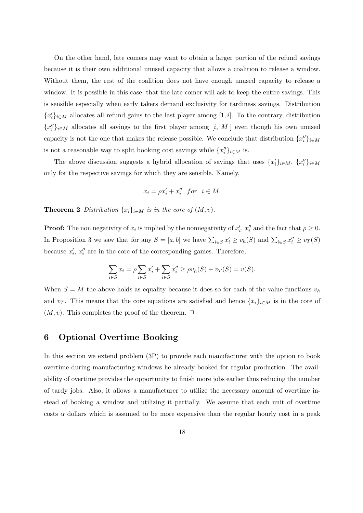On the other hand, late comers may want to obtain a larger portion of the refund savings because it is their own additional unused capacity that allows a coalition to release a window. Without them, the rest of the coalition does not have enough unused capacity to release a window. It is possible in this case, that the late comer will ask to keep the entire savings. This is sensible especially when early takers demand exclusivity for tardiness savings. Distribution  ${x'_{i}}_{i\in M}$  allocates all refund gains to the last player among [1, i]. To the contrary, distribution  ${x''_i}_{i\in M}$  allocates all savings to the first player among  $[i, |M|]$  even though his own unused capacity is not the one that makes the release possible. We conclude that distribution  $\{x''_i\}_{i\in M}$ is not a reasonable way to split booking cost savings while  $\{x''_i\}_{i\in M}$  is.

The above discussion suggests a hybrid allocation of savings that uses  $\{x'_i\}_{i\in M}$ ,  $\{x''_i\}_{i\in M}$ only for the respective savings for which they are sensible. Namely,

$$
x_i = \rho x_i' + x_i'' \text{ for } i \in M.
$$

**Theorem 2** Distribution  $\{x_i\}_{i \in M}$  is in the core of  $(M, v)$ .

**Proof:** The non negativity of  $x_i$  is implied by the nonnegativity of  $x'_i$ ,  $x''_i$  and the fact that  $\rho \geq 0$ . In Proposition 3 we saw that for any  $S = [a, b]$  we have  $\sum_{i \in S} x_i' \ge v_h(S)$  and  $\sum_{i \in S} x_i'' \ge v_T(S)$ because  $x_i'$ ,  $x_i''$  are in the core of the corresponding games. Therefore,

$$
\sum_{i \in S} x_i = \rho \sum_{i \in S} x'_i + \sum_{i \in S} x''_i \ge \rho v_h(S) + v_T(S) = v(S).
$$

When  $S = M$  the above holds as equality because it does so for each of the value functions  $v_h$ and  $v_T$ . This means that the core equations are satisfied and hence  $\{x_i\}_{i\in M}$  is in the core of  $(M, v)$ . This completes the proof of the theorem.  $\Box$ 

## 6 Optional Overtime Booking

In this section we extend problem (3P) to provide each manufacturer with the option to book overtime during manufacturing windows he already booked for regular production. The availability of overtime provides the opportunity to finish more jobs earlier thus reducing the number of tardy jobs. Also, it allows a manufacturer to utilize the necessary amount of overtime instead of booking a window and utilizing it partially. We assume that each unit of overtime costs  $\alpha$  dollars which is assumed to be more expensive than the regular hourly cost in a peak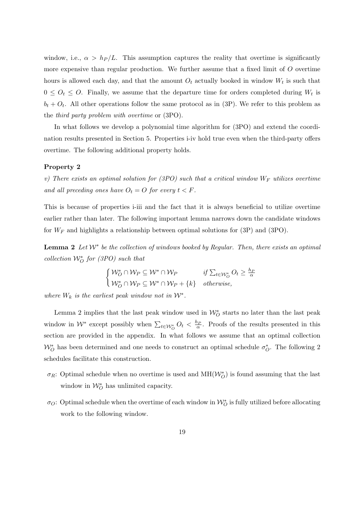window, i.e.,  $\alpha > h_P/L$ . This assumption captures the reality that overtime is significantly more expensive than regular production. We further assume that a fixed limit of  $O$  overtime hours is allowed each day, and that the amount  $O_t$  actually booked in window  $W_t$  is such that  $0 \leq O_t \leq O$ . Finally, we assume that the departure time for orders completed during  $W_t$  is  $b_t + O_t$ . All other operations follow the same protocol as in (3P). We refer to this problem as the third party problem with overtime or (3PO).

In what follows we develop a polynomial time algorithm for (3PO) and extend the coordination results presented in Section 5. Properties i-iv hold true even when the third-party offers overtime. The following additional property holds.

#### Property 2

v) There exists an optimal solution for (3PO) such that a critical window  $W_F$  utilizes overtime and all preceding ones have  $O_t = O$  for every  $t < F$ .

This is because of properties i-iii and the fact that it is always beneficial to utilize overtime earlier rather than later. The following important lemma narrows down the candidate windows for  $W_F$  and highlights a relationship between optimal solutions for (3P) and (3PO).

**Lemma 2** Let  $W^*$  be the collection of windows booked by Regular. Then, there exists an optimal collection  $\mathcal{W}_O^*$  for (3PO) such that

$$
\begin{cases} \mathcal{W}_O^* \cap \mathcal{W}_P \subseteq \mathcal{W}^* \cap \mathcal{W}_P & \text{if } \sum_{t \in \mathcal{W}_O^*} O_t \ge \frac{h_P}{\alpha} \\ \mathcal{W}_O^* \cap \mathcal{W}_P \subseteq \mathcal{W}^* \cap \mathcal{W}_P + \{k\} & \text{otherwise,} \end{cases}
$$

where  $W_k$  is the earliest peak window not in  $\mathcal{W}^*$ .

Lemma 2 implies that the last peak window used in  $\mathcal{W}_{O}^*$  starts no later than the last peak window in  $W^*$  except possibly when  $\sum_{t\in\mathcal{W}^*_{\mathcal{O}}} O_t < \frac{h_P}{\alpha}$ . Proofs of the results presented in this section are provided in the appendix. In what follows we assume that an optimal collection  $W_O^*$  has been determined and one needs to construct an optimal schedule  $\sigma_O^*$ . The following 2 schedules facilitate this construction.

- $\sigma_R$ : Optimal schedule when no overtime is used and  $\text{MH}(\mathcal{W}_O^*)$  is found assuming that the last window in  $\mathcal{W}_O^*$  has unlimited capacity.
- $\sigma_O$ : Optimal schedule when the overtime of each window in  $\mathcal{W}_O^*$  is fully utilized before allocating work to the following window.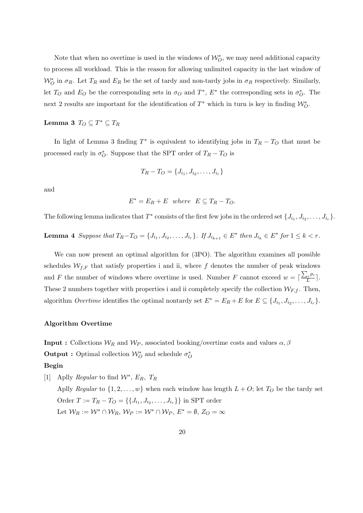Note that when no overtime is used in the windows of  $\mathcal{W}_{O}^*$ , we may need additional capacity to process all workload. This is the reason for allowing unlimited capacity in the last window of  $W_O^*$  in  $\sigma_R$ . Let  $T_R$  and  $E_R$  be the set of tardy and non-tardy jobs in  $\sigma_R$  respectively. Similarly, let  $T_O$  and  $E_O$  be the corresponding sets in  $\sigma_O$  and  $T^*$ ,  $E^*$  the corresponding sets in  $\sigma_O^*$ . The next 2 results are important for the identification of  $T^*$  which in turn is key in finding  $\mathcal{W}_O^*$ .

# Lemma 3  $T_O \subseteq T^* \subseteq T_R$

In light of Lemma 3 finding  $T^*$  is equivalent to identifying jobs in  $T_R - T_O$  that must be processed early in  $\sigma_O^*$ . Suppose that the SPT order of  $T_R - T_O$  is

$$
T_R - T_O = \{J_{i_1}, J_{i_2}, \dots, J_{i_r}\}
$$

and

$$
E^* = E_R + E \quad where \quad E \subseteq T_R - T_O.
$$

The following lemma indicates that  $T^*$  consists of the first few jobs in the ordered set  $\{J_{i_1}, J_{i_2}, \ldots, J_{i_r}\}$ .

**Lemma 4** Suppose that  $T_R - T_O = \{J_{i_1}, J_{i_2}, \ldots, J_{i_r}\}$ . If  $J_{i_{k+1}} \in E^*$  then  $J_{i_k} \in E^*$  for  $1 \leq k < r$ .

We can now present an optimal algorithm for  $(3PO)$ . The algorithm examines all possible schedules  $W_{f,F}$  that satisfy properties i and ii, where f denotes the number of peak windows and F the number of windows where overtime is used. Number F cannot exceed  $w = \lceil \frac{\sum_i p_i}{L} \rceil$  $\frac{u^{i}}{L}$ . These 2 numbers together with properties i and ii completely specify the collection  $W_{F,f}$ . Then, algorithm *Overtime* identifies the optimal nontardy set  $E^* = E_R + E$  for  $E \subseteq \{J_{i_1}, J_{i_2}, \ldots, J_{i_r}\}.$ 

#### Algorithm Overtime

**Input :** Collections  $W_R$  and  $W_P$ , associated booking/overtime costs and values  $\alpha, \beta$ Output : Optimal collection  $\mathcal{W}_{O}^*$  and schedule  $\sigma_O^*$ 

#### Begin

[1] Aplly *Regular* to find  $\mathcal{W}^*, E_R, T_R$ Aplly Regular to  $\{1, 2, ..., w\}$  when each window has length  $L + O$ ; let  $T_O$  be the tardy set Order  $T := T_R - T_O = \{\{J_{i_1}, J_{i_2}, \dots, J_{i_r}\}\}\$ in SPT order Let  $W_R := \mathcal{W}^* \cap \mathcal{W}_R$ ,  $\mathcal{W}_P := \mathcal{W}^* \cap \mathcal{W}_P$ ,  $E^* = \emptyset$ ,  $Z_O = \infty$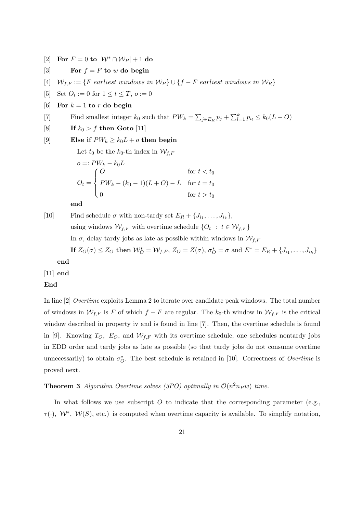[2] For  $F = 0$  to  $|\mathcal{W}^* \cap \mathcal{W}_P| + 1$  do

- [3] For  $f = F$  to w do begin
- [4]  $W_{f,F} := \{F \text{ earliest windows in } \mathcal{W}_P\} \cup \{f F \text{ earliest windows in } \mathcal{W}_R\}$
- [5] Set  $O_t := 0$  for  $1 \le t \le T$ ,  $o := 0$
- [6] For  $k = 1$  to r do begin
- [7] Find smallest integer  $k_0$  such that  $PW_k = \sum_{j \in E_R} p_j + \sum_{l=1}^k p_{i_l} \leq k_0(L+O)$
- [8] If  $k_0 > f$  then Goto [11]

```
[9] Else if PW_k \geq k_0L + o then begin
```

```
Let t_0 be the k_0-th index in \mathcal{W}_{f,F}
```

$$
o =: PW_k - k_0L
$$
  
\n
$$
O_t = \begin{cases} O & \text{for } t < t_0 \\ PW_k - (k_0 - 1)(L + O) - L & \text{for } t = t_0 \\ 0 & \text{for } t > t_0 \end{cases}
$$

end

[10] Find schedule  $\sigma$  with non-tardy set  $E_R + \{J_{i_1}, \ldots, J_{i_k}\},\$ using windows  $\mathcal{W}_{f,F}$  with overtime schedule  $\{O_t : t \in \mathcal{W}_{f,F}\}\$ 

In  $\sigma$ , delay tardy jobs as late as possible within windows in  $\mathcal{W}_{f,F}$ 

If  $Z_O(\sigma) \leq Z_O$  then  $\mathcal{W}_O^* = \mathcal{W}_{f,F}$ ,  $Z_O = Z(\sigma)$ ,  $\sigma_O^* = \sigma$  and  $E^* = E_R + \{J_{i_1}, \ldots, J_{i_k}\}$ 

end

 $[11]$  end

#### End

In line [2] Overtime exploits Lemma 2 to iterate over candidate peak windows. The total number of windows in  $\mathcal{W}_{f,F}$  is F of which  $f - F$  are regular. The  $k_0$ -th window in  $\mathcal{W}_{f,F}$  is the critical window described in property iv and is found in line [7]. Then, the overtime schedule is found in [9]. Knowing  $T_O$ ,  $E_O$ , and  $W_{f,F}$  with its overtime schedule, one schedules nontardy jobs in EDD order and tardy jobs as late as possible (so that tardy jobs do not consume overtime unnecessarily) to obtain  $\sigma_O^*$ . The best schedule is retained in [10]. Correctness of *Overtime* is proved next.

**Theorem 3** Algorithm Overtime solves (3PO) optimally in  $\mathcal{O}(n^2n_P w)$  time.

In what follows we use subscript  $O$  to indicate that the corresponding parameter (e.g.,  $\tau(\cdot)$ ,  $\mathcal{W}^*$ ,  $\mathcal{W}(S)$ , etc.) is computed when overtime capacity is available. To simplify notation,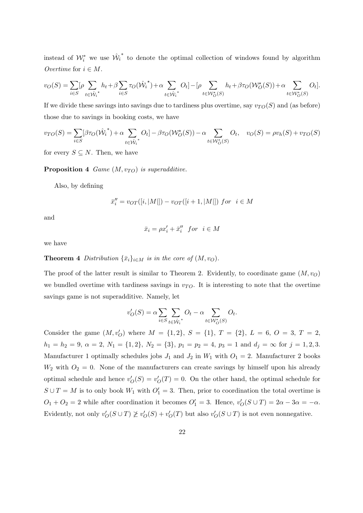instead of  $\mathcal{W}_i^*$  we use  $\hat{\mathcal{W}}_i$ ∗ to denote the optimal collection of windows found by algorithm Overtime for  $i \in M$ .

$$
v_O(S) = \sum_{i \in S} \left[ \rho \sum_{t \in \hat{\mathcal{W}}_i^{\star}} h_t + \beta \sum_{i \in S} \tau_O(\hat{\mathcal{W}}_i^{\star}) + \alpha \sum_{t \in \hat{\mathcal{W}}_i^{\star}} O_t \right] - \left[ \rho \sum_{t \in \mathcal{W}_O^{\star}(S)} h_t + \beta \tau_O(\mathcal{W}_O^{\star}(S)) + \alpha \sum_{t \in \mathcal{W}_O^{\star}(S)} O_t \right].
$$

If we divide these savings into savings due to tardiness plus overtime, say  $v_{TO}(S)$  and (as before) those due to savings in booking costs, we have

$$
v_{TO}(S) = \sum_{i \in S} [\beta \tau_O(\hat{W}_i^*) + \alpha \sum_{t \in \hat{W}_i^*} O_t] - \beta \tau_O(W_O^*(S)) - \alpha \sum_{t \in W_O^*(S)} O_t, \quad v_O(S) = \rho v_h(S) + v_{TO}(S)
$$

for every  $S \subseteq N$ . Then, we have

**Proposition 4** Game  $(M, v_{TO})$  is superadditive.

Also, by defining

$$
\bar{x}_i''=v_{OT}([i,|M|])-v_{OT}([i+1,|M|]) \ for \ i\in M
$$

and

$$
\bar{x}_i = \rho x_i' + \bar{x}_i'' \quad \text{for} \quad i \in M
$$

we have

**Theorem 4** Distribution  $\{\bar{x}_i\}_{i \in M}$  is in the core of  $(M, v_O)$ .

The proof of the latter result is similar to Theorem 2. Evidently, to coordinate game  $(M, v_O)$ we bundled overtime with tardiness savings in  $v_{TO}$ . It is interesting to note that the overtime savings game is not superadditive. Namely, let

$$
v'_O(S) = \alpha \sum_{i \in S} \sum_{t \in \hat{\mathcal{W}}_i^*} O_t - \alpha \sum_{t \in \mathcal{W}_O^*(S)} O_t.
$$

Consider the game  $(M, v'_O)$  where  $M = \{1, 2\}, S = \{1\}, T = \{2\}, L = 6, O = 3, T = 2,$  $h_1 = h_2 = 9, \ \alpha = 2, \ N_1 = \{1, 2\}, \ N_2 = \{3\}, \ p_1 = p_2 = 4, \ p_3 = 1 \text{ and } d_j = \infty \text{ for } j = 1, 2, 3.$ Manufacturer 1 optimally schedules jobs  $J_1$  and  $J_2$  in  $W_1$  with  $O_1 = 2$ . Manufacturer 2 books  $W_2$  with  $O_2 = 0$ . None of the manufacturers can create savings by himself upon his already optimal schedule and hence  $v'_{O}(S) = v'_{O}(T) = 0$ . On the other hand, the optimal schedule for  $S \cup T = M$  is to only book  $W_1$  with  $O'_1 = 3$ . Then, prior to coordination the total overtime is  $O_1 + O_2 = 2$  while after coordination it becomes  $O'_1 = 3$ . Hence,  $v'_O(S \cup T) = 2\alpha - 3\alpha = -\alpha$ . Evidently, not only  $v'_O(S \cup T) \not\geq v'_O(S) + v'_O(T)$  but also  $v'_O(S \cup T)$  is not even nonnegative.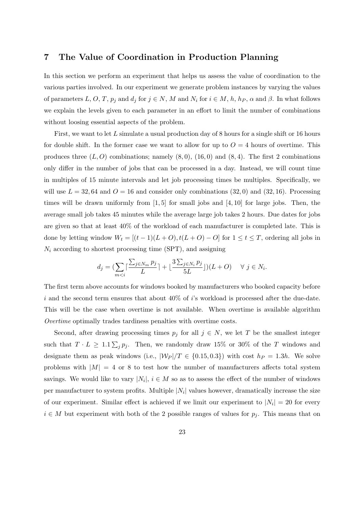# 7 The Value of Coordination in Production Planning

In this section we perform an experiment that helps us assess the value of coordination to the various parties involved. In our experiment we generate problem instances by varying the values of parameters L, O, T,  $p_j$  and  $d_j$  for  $j \in N$ , M and  $N_i$  for  $i \in M$ ,  $h$ ,  $h_P$ ,  $\alpha$  and  $\beta$ . In what follows we explain the levels given to each parameter in an effort to limit the number of combinations without loosing essential aspects of the problem.

First, we want to let  $L$  simulate a usual production day of 8 hours for a single shift or 16 hours for double shift. In the former case we want to allow for up to  $O = 4$  hours of overtime. This produces three  $(L, O)$  combinations; namely  $(8, 0)$ ,  $(16, 0)$  and  $(8, 4)$ . The first 2 combinations only differ in the number of jobs that can be processed in a day. Instead, we will count time in multiples of 15 minute intervals and let job processing times be multiples. Specifically, we will use  $L = 32, 64$  and  $O = 16$  and consider only combinations (32,0) and (32,16). Processing times will be drawn uniformly from  $[1, 5]$  for small jobs and  $[4, 10]$  for large jobs. Then, the average small job takes 45 minutes while the average large job takes 2 hours. Due dates for jobs are given so that at least 40% of the workload of each manufacturer is completed late. This is done by letting window  $W_t = [(t-1)(L+O), t(L+O)-O]$  for  $1 \le t \le T$ , ordering all jobs in  $N_i$  according to shortest processing time (SPT), and assigning

$$
d_j = \left(\sum_{m < i} \lceil \frac{\sum_{j \in N_m} p_j}{L} \rceil + \lfloor \frac{3\sum_{j \in N_i} p_j}{5L} \rfloor\right) (L + O) \quad \forall \ j \in N_i.
$$

The first term above accounts for windows booked by manufacturers who booked capacity before i and the second term ensures that about  $40\%$  of i's workload is processed after the due-date. This will be the case when overtime is not available. When overtime is available algorithm Overtime optimally trades tardiness penalties with overtime costs.

Second, after drawing processing times  $p_j$  for all  $j \in N$ , we let T be the smallest integer such that  $T \cdot L \geq 1.1 \sum_j p_j$ . Then, we randomly draw 15% or 30% of the T windows and designate them as peak windows (i.e.,  $|\mathcal{W}_P|/T \in \{0.15, 0.3\}$ ) with cost  $h_P = 1.3h$ . We solve problems with  $|M| = 4$  or 8 to test how the number of manufacturers affects total system savings. We would like to vary  $|N_i|, i \in M$  so as to assess the effect of the number of windows per manufacturer to system profits. Multiple  $|N_i|$  values however, dramatically increase the size of our experiment. Similar effect is achieved if we limit our experiment to  $|N_i| = 20$  for every  $i \in M$  but experiment with both of the 2 possible ranges of values for  $p_j$ . This means that on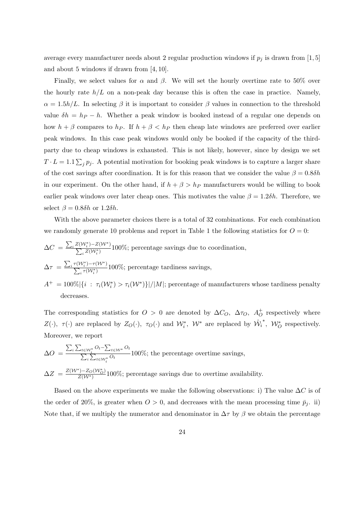average every manufacturer needs about 2 regular production windows if  $p_j$  is drawn from [1, 5] and about 5 windows if drawn from [4, 10].

Finally, we select values for  $\alpha$  and  $\beta$ . We will set the hourly overtime rate to 50% over the hourly rate  $h/L$  on a non-peak day because this is often the case in practice. Namely,  $\alpha = 1.5h/L$ . In selecting  $\beta$  it is important to consider  $\beta$  values in connection to the threshold value  $\delta h = h_P - h$ . Whether a peak window is booked instead of a regular one depends on how  $h + \beta$  compares to  $h_P$ . If  $h + \beta < h_P$  then cheap late windows are preferred over earlier peak windows. In this case peak windows would only be booked if the capacity of the thirdparty due to cheap windows is exhausted. This is not likely, however, since by design we set  $T \cdot L = 1.1 \sum_j p_j$ . A potential motivation for booking peak windows is to capture a larger share of the cost savings after coordination. It is for this reason that we consider the value  $\beta = 0.8 \delta h$ in our experiment. On the other hand, if  $h + \beta > h_P$  manufacturers would be willing to book earlier peak windows over later cheap ones. This motivates the value  $\beta = 1.2\delta h$ . Therefore, we select  $\beta = 0.8\delta h$  or 1.2 $\delta h$ .

With the above parameter choices there is a total of 32 combinations. For each combination we randomly generate 10 problems and report in Table 1 the following statistics for  $O = 0$ :

$$
\Delta C = \frac{\sum_{i} Z(\mathcal{W}_{i}^{*}) - Z(\mathcal{W}^{*})}{\sum_{i} Z(\mathcal{W}_{i}^{*})} 100\%;
$$
 percentage savings due to coordination,  

$$
\Delta \tau = \frac{\sum_{i} \tau(\mathcal{W}_{i}^{*}) - \tau(\mathcal{W}^{*})}{\sum_{i} \tau(\mathcal{W}_{i}^{*})} 100\%;
$$
 percentage tardiness savings,  

$$
A^{+} = 100\% |I_{i} \cdot \tau(\mathcal{W}^{*})| > \tau(\mathcal{W}^{*}) \setminus [M] \cdot
$$
 percentage of manufacturers

 $A^+ = 100\% |\{i : \tau_i(\mathcal{W}_i^*) > \tau_i(\mathcal{W}^*)\}| / |M|$ ; percentage of manufacturers whose tardiness penalty decreases.

The corresponding statistics for  $O > 0$  are denoted by  $\Delta C_O$ ,  $\Delta \tau_O$ ,  $A_O^+$  respectively where  $Z(\cdot)$ ,  $\tau(\cdot)$  are replaced by  $Z_O(\cdot)$ ,  $\tau_O(\cdot)$  and  $\mathcal{W}_i^*$ ,  $\mathcal{W}^*$  are replaced by  $\hat{\mathcal{W}}_i$ \*,  $W_O^*$  respectively. Moreover, we report

$$
\Delta O = \frac{\sum_{i} \sum_{t \in \mathcal{W}_{i}^{*}} O_{t} - \sum_{t \in \mathcal{W}_{i}^{*}} O_{t}}{\sum_{i} \sum_{t \in \mathcal{W}_{i}^{*}} O_{t}} 100\%; \text{ the percentage overtime savings,}
$$

 $\Delta Z = \frac{Z(\mathcal{W}^*) - Z_O(\mathcal{W}_O^*)}{Z(\mathcal{W}^*)}$  $\frac{1-20(V'_{O})}{Z(V^{*})}100\%$ ; percentage savings due to overtime availability.

Based on the above experiments we make the following observations: i) The value  $\Delta C$  is of the order of 20%, is greater when  $O > 0$ , and decreases with the mean processing time  $\bar{p}_j$ . ii) Note that, if we multiply the numerator and denominator in  $\Delta \tau$  by  $\beta$  we obtain the percentage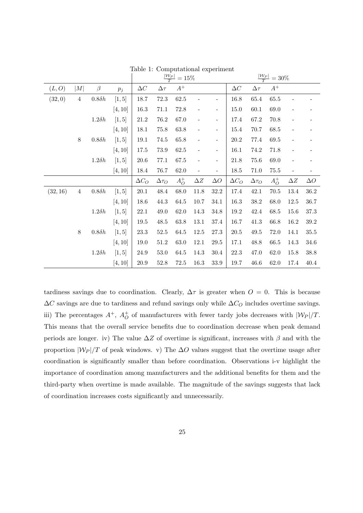|          |                |               |                    | $\frac{ W_P }{T} = 15\%$ |                 |          |                          |                          | $\frac{ W_P }{T}$<br>$= 30\%$ |                 |          |                          |            |
|----------|----------------|---------------|--------------------|--------------------------|-----------------|----------|--------------------------|--------------------------|-------------------------------|-----------------|----------|--------------------------|------------|
| (L, O)   | M              | $\beta$       | $p_{\mathfrak{j}}$ | $\Delta C$               | $\Delta \tau$   | $A^+$    |                          |                          | $\Delta C$                    | $\Delta \tau$   | $A^+$    |                          |            |
| (32,0)   | $\overline{4}$ | $0.8\delta h$ | [1, 5]             | 18.7                     | $72.3\,$        | $62.5\,$ |                          |                          | 16.8                          | 65.4            | 65.5     |                          |            |
|          |                |               | [4, 10]            | 16.3                     | 71.1            | $72.8\,$ | $\overline{\phantom{0}}$ | $\overline{\phantom{0}}$ | 15.0                          | $60.1\,$        | 69.0     | $\overline{a}$           |            |
|          |                | $1.2\delta h$ | [1, 5]             | $21.2\,$                 | $76.2\,$        | $67.0\,$ | $\overline{\phantom{a}}$ | $\overline{\phantom{a}}$ | $17.4\,$                      | $67.2\,$        | 70.8     | $\overline{\phantom{0}}$ |            |
|          |                |               | [4, 10]            | 18.1                     | 75.8            | $63.8\,$ | $\overline{\phantom{0}}$ | $\overline{\phantom{0}}$ | 15.4                          | $70.7\,$        | 68.5     | $\overline{\phantom{0}}$ |            |
|          | $8\,$          | $0.8\delta h$ | [1, 5]             | 19.1                     | $74.5\,$        | $65.8\,$ | $\overline{\phantom{0}}$ | $\overline{\phantom{a}}$ | $20.2\,$                      | 77.4            | $69.5\,$ | $\overline{\phantom{a}}$ |            |
|          |                |               | [4, 10]            | $17.5\,$                 | $73.9\,$        | $62.5\,$ | $\overline{\phantom{0}}$ | $\overline{\phantom{a}}$ | 16.1                          | $74.2\,$        | 71.8     | $\overline{\phantom{0}}$ |            |
|          |                | $1.2\delta h$ | [1, 5]             | $20.6\,$                 | 77.1            | $67.5\,$ | $\overline{\phantom{0}}$ | $\overline{\phantom{a}}$ | 21.8                          | $75.6\,$        | $69.0\,$ | $\qquad \qquad -$        |            |
|          |                |               | [4, 10]            | 18.4                     | $76.7\,$        | $62.0\,$ | $\overline{\phantom{0}}$ | $\overline{\phantom{a}}$ | $18.5\,$                      | $71.0\,$        | $75.5\,$ | $\overline{\phantom{0}}$ |            |
|          |                |               |                    | $\Delta C_O$             | $\Delta \tau_O$ | $A_O^+$  | $\Delta Z$               | $\Delta O$               | $\Delta C_O$                  | $\Delta \tau_O$ | $A_O^+$  | $\Delta Z$               | $\Delta O$ |
| (32, 16) | $\sqrt{4}$     | $0.8\delta h$ | [1, 5]             | $20.1\,$                 | $48.4\,$        | $68.0\,$ | 11.8                     | $32.2\,$                 | 17.4                          | 42.1            | $70.5\,$ | $13.4\,$                 | $36.2\,$   |
|          |                |               | [4, 10]            | 18.6                     | 44.3            | 64.5     | 10.7                     | 34.1                     | 16.3                          | $38.2\,$        | 68.0     | 12.5                     | 36.7       |
|          |                | $1.2\delta h$ | [1, 5]             | $22.1\,$                 | $49.0\,$        | $62.0\,$ | 14.3                     | $34.8\,$                 | $19.2\,$                      | 42.4            | $68.5\,$ | $15.6\,$                 | 37.3       |
|          |                |               | [4, 10]            | 19.5                     | 48.5            | 63.8     | 13.1                     | $37.4\,$                 | 16.7                          | 41.3            | 66.8     | 16.2                     | $39.2\,$   |
|          | $8\,$          | $0.8\delta h$ | [1, 5]             | $23.3\,$                 | $52.5\,$        | $64.5\,$ | $12.5\,$                 | $27.3\,$                 | $20.5\,$                      | $\rm 49.5$      | $72.0\,$ | 14.1                     | $35.5\,$   |
|          |                |               | [4, 10]            | 19.0                     | 51.2            | 63.0     | 12.1                     | 29.5                     | 17.1                          | 48.8            | 66.5     | 14.3                     | 34.6       |
|          |                | $1.2\delta h$ | [1, 5]             | $24.9\,$                 | $53.0\,$        | $64.5\,$ | 14.3                     | $30.4\,$                 | 22.3                          | 47.0            | $62.0\,$ | 15.8                     | $38.8\,$   |
|          |                |               | [4, 10]            | $20.9\,$                 | $52.8\,$        | $72.5\,$ | 16.3                     | 33.9                     | 19.7                          | $46.6\,$        | $62.0\,$ | 17.4                     | 40.4       |

Table 1: Computational experiment

tardiness savings due to coordination. Clearly,  $\Delta \tau$  is greater when  $O = 0$ . This is because  $\Delta C$  savings are due to tardiness and refund savings only while  $\Delta C_O$  includes overtime savings. iii) The percentages  $A^+$ ,  $A_O^+$  of manufacturers with fewer tardy jobs decreases with  $|\mathcal{W}_P|/T$ . This means that the overall service benefits due to coordination decrease when peak demand periods are longer. iv) The value  $\Delta Z$  of overtime is significant, increases with  $\beta$  and with the proportion  $|\mathcal{W}_P|/T$  of peak windows. v) The  $\Delta O$  values suggest that the overtime usage after coordination is significantly smaller than before coordination. Observations i-v highlight the importance of coordination among manufacturers and the additional benefits for them and the third-party when overtime is made available. The magnitude of the savings suggests that lack of coordination increases costs significantly and unnecessarily.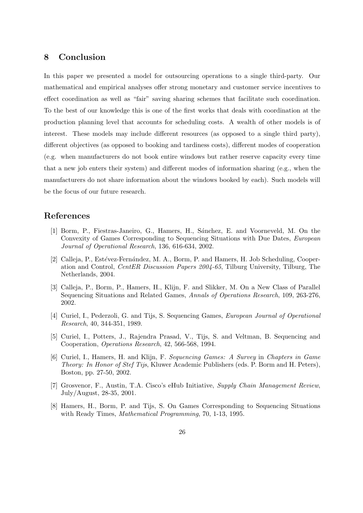# 8 Conclusion

In this paper we presented a model for outsourcing operations to a single third-party. Our mathematical and empirical analyses offer strong monetary and customer service incentives to effect coordination as well as "fair" saving sharing schemes that facilitate such coordination. To the best of our knowledge this is one of the first works that deals with coordination at the production planning level that accounts for scheduling costs. A wealth of other models is of interest. These models may include different resources (as opposed to a single third party), different objectives (as opposed to booking and tardiness costs), different modes of cooperation (e.g. when manufacturers do not book entire windows but rather reserve capacity every time that a new job enters their system) and different modes of information sharing (e.g., when the manufacturers do not share information about the windows booked by each). Such models will be the focus of our future research.

## References

- [1] Borm, P., Fiestras-Janeiro, G., Hamers, H., S´anchez, E. and Voorneveld, M. On the Convexity of Games Corresponding to Sequencing Situations with Due Dates, European Journal of Operational Research, 136, 616-634, 2002.
- [2] Calleja, P., Estévez-Fernández, M. A., Borm, P. and Hamers, H. Job Scheduling, Cooperation and Control, CentER Discussion Papers 2004-65, Tilburg University, Tilburg, The Netherlands, 2004.
- [3] Calleja, P., Borm, P., Hamers, H., Klijn, F. and Slikker, M. On a New Class of Parallel Sequencing Situations and Related Games, Annals of Operations Research, 109, 263-276, 2002.
- [4] Curiel, I., Pederzoli, G. and Tijs, S. Sequencing Games, European Journal of Operational Research, 40, 344-351, 1989.
- [5] Curiel, I., Potters, J., Rajendra Prasad, V., Tijs, S. and Veltman, B. Sequencing and Cooperation, Operations Research, 42, 566-568, 1994.
- [6] Curiel, I., Hamers, H. and Klijn, F. Sequencing Games: A Survey in Chapters in Game Theory: In Honor of Stef Tijs, Kluwer Academic Publishers (eds. P. Borm and H. Peters), Boston, pp. 27-50, 2002.
- [7] Grosvenor, F., Austin, T.A. Cisco's eHub Initiative, Supply Chain Management Review, July/August, 28-35, 2001.
- [8] Hamers, H., Borm, P. and Tijs, S. On Games Corresponding to Sequencing Situations with Ready Times, Mathematical Programming, 70, 1-13, 1995.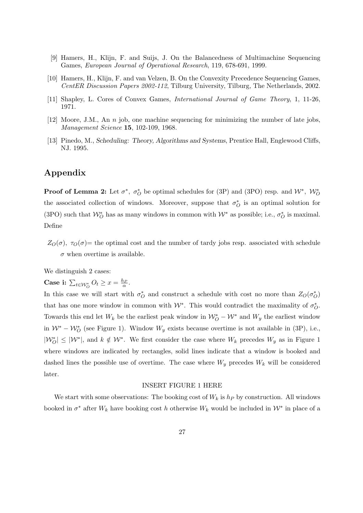- [9] Hamers, H., Klijn, F. and Suijs, J. On the Balancedness of Multimachine Sequencing Games, European Journal of Operational Research, 119, 678-691, 1999.
- [10] Hamers, H., Klijn, F. and van Velzen, B. On the Convexity Precedence Sequencing Games, CentER Discussion Papers 2002-112, Tilburg University, Tilburg, The Netherlands, 2002.
- [11] Shapley, L. Cores of Convex Games, International Journal of Game Theory, 1, 11-26, 1971.
- [12] Moore, J.M., An n job, one machine sequencing for minimizing the number of late jobs, Management Science 15, 102-109, 1968.
- [13] Pinedo, M., Scheduling: Theory, Algorithms and Systems, Prentice Hall, Englewood Cliffs, NJ. 1995.

# Appendix

**Proof of Lemma 2:** Let  $\sigma^*$ ,  $\sigma_O^*$  be optimal schedules for (3P) and (3PO) resp. and  $W^*$ ,  $W_O^*$ the associated collection of windows. Moreover, suppose that  $\sigma_O^*$  is an optimal solution for (3PO) such that  $\mathcal{W}^*_{\mathcal{O}}$  has as many windows in common with  $\mathcal{W}^*$  as possible; i.e.,  $\sigma^*_{\mathcal{O}}$  is maximal. Define

 $Z_{\mathcal{O}}(\sigma)$ ,  $\tau_{\mathcal{O}}(\sigma)$  = the optimal cost and the number of tardy jobs resp. associated with schedule  $\sigma$  when overtime is available.

We distinguish 2 cases:

Case i:  $\sum_{t \in \mathcal{W}_O^*} O_t \geq x = \frac{h_P}{\alpha}$ .

In this case we will start with  $\sigma_O^*$  and construct a schedule with cost no more than  $Z_O(\sigma_O^*)$ that has one more window in common with  $\mathcal{W}^*$ . This would contradict the maximality of  $\sigma_O^*$ . Towards this end let  $W_k$  be the earliest peak window in  $\mathcal{W}_O^* - \mathcal{W}^*$  and  $W_y$  the earliest window in  $W^* - W_O^*$  (see Figure 1). Window  $W_y$  exists because overtime is not available in (3P), i.e.,  $|W_O^*| \leq |W^*|$ , and  $k \notin W^*$ . We first consider the case where  $W_k$  precedes  $W_y$  as in Figure 1 where windows are indicated by rectangles, solid lines indicate that a window is booked and dashed lines the possible use of overtime. The case where  $W_y$  precedes  $W_k$  will be considered later.

#### INSERT FIGURE 1 HERE

We start with some observations: The booking cost of  $W_k$  is  $h_P$  by construction. All windows booked in  $\sigma^*$  after  $W_k$  have booking cost h otherwise  $W_k$  would be included in  $\mathcal{W}^*$  in place of a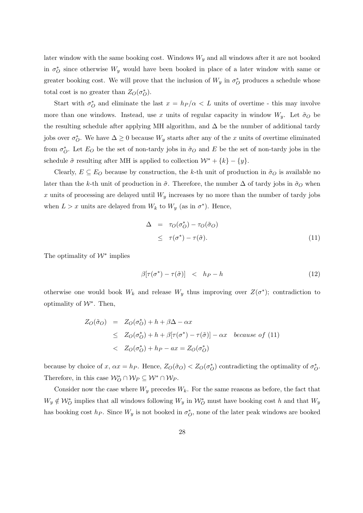later window with the same booking cost. Windows  $W_y$  and all windows after it are not booked in  $\sigma_O^*$  since otherwise  $W_y$  would have been booked in place of a later window with same or greater booking cost. We will prove that the inclusion of  $W_y$  in  $\sigma^*_{\mathcal{O}}$  produces a schedule whose total cost is no greater than  $Z_O(\sigma_O^*)$ .

Start with  $\sigma_O^*$  and eliminate the last  $x = h_P/\alpha < L$  units of overtime - this may involve more than one windows. Instead, use x units of regular capacity in window  $W_y$ . Let  $\tilde{\sigma}_O$  be the resulting schedule after applying MH algorithm, and  $\Delta$  be the number of additional tardy jobs over  $\sigma_O^*$ . We have  $\Delta \geq 0$  because  $W_y$  starts after any of the x units of overtime eliminated from  $\sigma_O^*$ . Let  $E_O$  be the set of non-tardy jobs in  $\tilde{\sigma}_O$  and E be the set of non-tardy jobs in the schedule  $\tilde{\sigma}$  resulting after MH is applied to collection  $\mathcal{W}^* + \{k\} - \{y\}.$ 

Clearly,  $E \subseteq E_O$  because by construction, the k-th unit of production in  $\tilde{\sigma}_O$  is available no later than the k-th unit of production in  $\tilde{\sigma}$ . Therefore, the number  $\Delta$  of tardy jobs in  $\tilde{\sigma}_O$  when x units of processing are delayed until  $W_y$  increases by no more than the number of tardy jobs when  $L > x$  units are delayed from  $W_k$  to  $W_y$  (as in  $\sigma^*$ ). Hence,

$$
\Delta = \tau_O(\sigma_O^*) - \tau_O(\tilde{\sigma}_O) \n\leq \tau(\sigma^*) - \tau(\tilde{\sigma}).
$$
\n(11)

The optimality of  $W^*$  implies

$$
\beta[\tau(\sigma^*) - \tau(\tilde{\sigma})] < h_P - h \tag{12}
$$

otherwise one would book  $W_k$  and release  $W_y$  thus improving over  $Z(\sigma^*)$ ; contradiction to optimality of  $W^*$ . Then,

$$
Z_O(\tilde{\sigma}_O) = Z_O(\sigma_O^*) + h + \beta \Delta - \alpha x
$$
  
\n
$$
\leq Z_O(\sigma_O^*) + h + \beta[\tau(\sigma^*) - \tau(\tilde{\sigma})] - \alpha x \quad because \ of \ (11)
$$
  
\n
$$
< Z_O(\sigma_O^*) + h_P - ax = Z_O(\sigma_O^*)
$$

because by choice of x,  $\alpha x = h_P$ . Hence,  $Z_O(\tilde{\sigma}_O) < Z_O(\sigma_O^*)$  contradicting the optimality of  $\sigma_O^*$ . Therefore, in this case  $\mathcal{W}_O^* \cap \mathcal{W}_P \subseteq \mathcal{W}^* \cap \mathcal{W}_P$ .

Consider now the case where  $W_y$  precedes  $W_k$ . For the same reasons as before, the fact that  $W_y \notin \mathcal{W}_O^*$  implies that all windows following  $W_y$  in  $\mathcal{W}_O^*$  must have booking cost h and that  $W_y$ has booking cost  $h_P$ . Since  $W_y$  is not booked in  $\sigma_O^*$ , none of the later peak windows are booked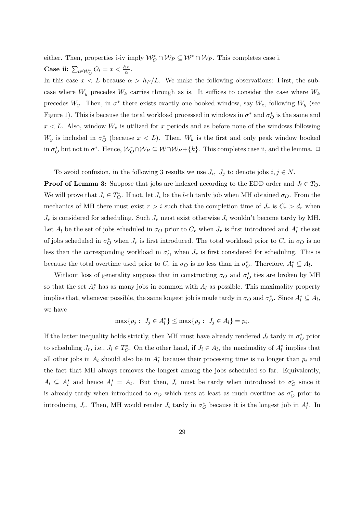either. Then, properties i-iv imply  $\mathcal{W}_O^* \cap \mathcal{W}_P \subseteq \mathcal{W}^* \cap \mathcal{W}_P$ . This completes case i. Case ii:  $\sum_{t \in \mathcal{W}_O^*} O_t = x < \frac{h_P}{\alpha}$ .

In this case  $x < L$  because  $\alpha > h_P/L$ . We make the following observations: First, the subcase where  $W_y$  precedes  $W_k$  carries through as is. It suffices to consider the case where  $W_k$ precedes  $W_y$ . Then, in  $\sigma^*$  there exists exactly one booked window, say  $W_z$ , following  $W_y$  (see Figure 1). This is because the total workload processed in windows in  $\sigma^*$  and  $\sigma_O^*$  is the same and  $x < L$ . Also, window  $W_z$  is utilized for x periods and as before none of the windows following  $W_y$  is included in  $\sigma_O^*$  (because  $x < L$ ). Then,  $W_k$  is the first and only peak window booked in  $\sigma_O^*$  but not in  $\sigma^*$ . Hence,  $\mathcal{W}_O^* \cap \mathcal{W}_P \subseteq \mathcal{W} \cap \mathcal{W}_P + \{k\}$ . This completes case ii, and the lemma.  $\Box$ 

To avoid confusion, in the following 3 results we use  $J_i$ ,  $J_j$  to denote jobs  $i, j \in N$ .

**Proof of Lemma 3:** Suppose that jobs are indexed according to the EDD order and  $J_i \in T_O$ . We will prove that  $J_i \in T_O^*$ . If not, let  $J_i$  be the *l*-th tardy job when MH obtained  $\sigma_O$ . From the mechanics of MH there must exist  $r > i$  such that the completion time of  $J_r$  is  $C_r > d_r$  when  $J_r$  is considered for scheduling. Such  $J_r$  must exist otherwise  $J_i$  wouldn't become tardy by MH. Let  $A_l$  be the set of jobs scheduled in  $\sigma_Q$  prior to  $C_r$  when  $J_r$  is first introduced and  $A_l^*$  the set of jobs scheduled in  $\sigma_O^*$  when  $J_r$  is first introduced. The total workload prior to  $C_r$  in  $\sigma_O$  is no less than the corresponding workload in  $\sigma_O^*$  when  $J_r$  is first considered for scheduling. This is because the total overtime used prior to  $C_r$  in  $\sigma_O$  is no less than in  $\sigma_O^*$ . Therefore,  $A_l^* \subseteq A_l$ .

Without loss of generality suppose that in constructing  $\sigma_O$  and  $\sigma_O^*$  ties are broken by MH so that the set  $A_l^*$  has as many jobs in common with  $A_l$  as possible. This maximality property implies that, whenever possible, the same longest job is made tardy in  $\sigma_O$  and  $\sigma_O^*$ . Since  $A_l^* \subseteq A_l$ , we have

$$
\max\{p_j: J_j \in A_l^*\} \le \max\{p_j: J_j \in A_l\} = p_i.
$$

If the latter inequality holds strictly, then MH must have already rendered  $J_i$  tardy in  $\sigma_O^*$  prior to scheduling  $J_r$ , i.e.,  $J_i \in T_O^*$ . On the other hand, if  $J_i \in A_l$ , the maximality of  $A_l^*$  implies that all other jobs in  $A_l$  should also be in  $A_l^*$  because their processing time is no longer than  $p_i$  and the fact that MH always removes the longest among the jobs scheduled so far. Equivalently,  $A_l \subseteq A_l^*$  and hence  $A_l^* = A_l$ . But then,  $J_r$  must be tardy when introduced to  $\sigma_O^*$  since it is already tardy when introduced to  $\sigma_O$  which uses at least as much overtime as  $\sigma_O^*$  prior to introducing  $J_r$ . Then, MH would render  $J_i$  tardy in  $\sigma_O^*$  because it is the longest job in  $A_l^*$ . In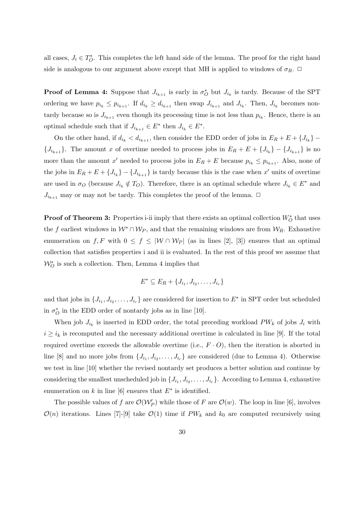all cases,  $J_i \in T_O^*$ . This completes the left hand side of the lemma. The proof for the right hand side is analogous to our argument above except that MH is applied to windows of  $\sigma_R$ .  $\Box$ 

**Proof of Lemma 4:** Suppose that  $J_{i_{k+1}}$  is early in  $\sigma_O^*$  but  $J_{i_k}$  is tardy. Because of the SPT ordering we have  $p_{i_k} \leq p_{i_{k+1}}$ . If  $d_{i_k} \geq d_{i_{k+1}}$  then swap  $J_{i_{k+1}}$  and  $J_{i_k}$ . Then,  $J_{i_k}$  becomes nontardy because so is  $J_{i_{k+1}}$  even though its processing time is not less than  $p_{i_k}$ . Hence, there is an optimal schedule such that if  $J_{i_{k+1}} \in E^*$  then  $J_{i_k} \in E^*$ .

On the other hand, if  $d_{i_k} < d_{i_{k+1}}$ , then consider the EDD order of jobs in  $E_R + E + \{J_{i_k}\}$  $\{J_{i_{k+1}}\}.$  The amount x of overtime needed to process jobs in  $E_R + E + \{J_{i_k}\} - \{J_{i_{k+1}}\}$  is no more than the amount x' needed to process jobs in  $E_R + E$  because  $p_{i_k} \leq p_{i_{k+1}}$ . Also, none of the jobs in  $E_R + E + \{J_{i_k}\} - \{J_{i_{k+1}}\}$  is tardy because this is the case when x' units of overtime are used in  $\sigma_O$  (because  $J_{i_k} \notin T_O$ ). Therefore, there is an optimal schedule where  $J_{i_k} \in E^*$  and  $J_{i_{k+1}}$  may or may not be tardy. This completes the proof of the lemma.  $\Box$ 

**Proof of Theorem 3:** Properties i-ii imply that there exists an optimal collection  $W_O^*$  that uses the f earliest windows in  $W^* \cap W_P$ , and that the remaining windows are from  $W_R$ . Exhaustive enumeration on f, F with  $0 \le f \le |W \cap W_P|$  (as in lines [2], [3]) ensures that an optimal collection that satisfies properties i and ii is evaluated. In the rest of this proof we assume that  $\mathcal{W}^*_O$  is such a collection. Then, Lemma 4 implies that

$$
E^* \subseteq E_R + \{J_{i_1}, J_{i_2}, \ldots, J_{i_r}\}\
$$

and that jobs in  $\{J_{i_1}, J_{i_2}, \ldots, J_{i_r}\}$  are considered for insertion to  $E^*$  in SPT order but scheduled in  $\sigma_O^*$  in the EDD order of nontardy jobs as in line [10].

When job  $J_{i_k}$  is inserted in EDD order, the total preceding workload  $PW_k$  of jobs  $J_i$  with  $i \geq i_k$  is recomputed and the necessary additional overtime is calculated in line [9]. If the total required overtime exceeds the allowable overtime (i.e.,  $F \cdot O$ ), then the iteration is aborted in line [8] and no more jobs from  $\{J_{i_1}, J_{i_2}, \ldots, J_{i_r}\}$  are considered (due to Lemma 4). Otherwise we test in line [10] whether the revised nontardy set produces a better solution and continue by considering the smallest unscheduled job in  $\{J_{i_1}, J_{i_2}, \ldots, J_{i_r}\}$ . According to Lemma 4, exhaustive enumeration on k in line [6] ensures that  $E^*$  is identified.

The possible values of f are  $\mathcal{O}(\mathcal{W}'_P)$  while those of F are  $\mathcal{O}(w)$ . The loop in line [6], involves  $\mathcal{O}(n)$  iterations. Lines [7]-[9] take  $\mathcal{O}(1)$  time if  $PW_k$  and  $k_0$  are computed recursively using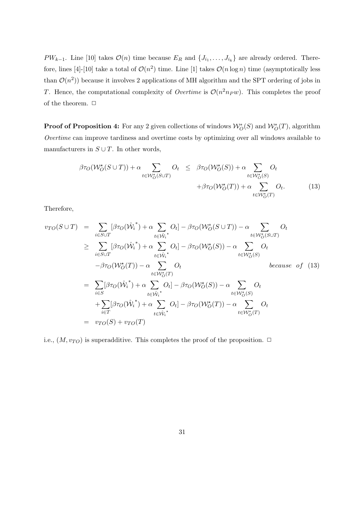$PW_{k-1}$ . Line [10] takes  $\mathcal{O}(n)$  time because  $E_R$  and  $\{J_{i_1},\ldots,J_{i_k}\}\$  are already ordered. Therefore, lines [4]-[10] take a total of  $\mathcal{O}(n^2)$  time. Line [1] takes  $\mathcal{O}(n \log n)$  time (asymptotically less than  $\mathcal{O}(n^2)$  because it involves 2 applications of MH algorithm and the SPT ordering of jobs in T. Hence, the computational complexity of *Overtime* is  $\mathcal{O}(n^2n_P w)$ . This completes the proof of the theorem.  $\Box$ 

**Proof of Proposition 4:** For any 2 given collections of windows  $\mathcal{W}_O^*(S)$  and  $\mathcal{W}_O^*(T)$ , algorithm Overtime can improve tardiness and overtime costs by optimizing over all windows available to manufacturers in  $S \cup T$ . In other words,

$$
\beta \tau_O(\mathcal{W}_O^{\star}(S \cup T)) + \alpha \sum_{t \in \mathcal{W}_O^{\star}(S \cup T)} O_t \leq \beta \tau_O(\mathcal{W}_O^{\star}(S)) + \alpha \sum_{t \in \mathcal{W}_O^{\star}(S)} O_t + \beta \tau_O(\mathcal{W}_O^{\star}(T)) + \alpha \sum_{t \in \mathcal{W}_O^{\star}(T)} O_t.
$$
(13)

Therefore,

$$
v_{TO}(S \cup T) = \sum_{i \in S \cup T} [\beta \tau_O(\hat{W}_i^*) + \alpha \sum_{t \in \hat{W}_i^*} O_t] - \beta \tau_O(W_O^*(S \cup T)) - \alpha \sum_{t \in W_O^*(S \cup T)} O_t
$$
  
\n
$$
\geq \sum_{i \in S \cup T} [\beta \tau_O(\hat{W}_i^*) + \alpha \sum_{t \in \hat{W}_i^*} O_t] - \beta \tau_O(W_O^*(S)) - \alpha \sum_{t \in W_O^*(S)} O_t
$$
  
\n
$$
- \beta \tau_O(W_O^*(T)) - \alpha \sum_{t \in W_O^*(T)} O_t \qquad \text{because of (13)}
$$
  
\n
$$
= \sum_{i \in S} [\beta \tau_O(\hat{W}_i^*) + \alpha \sum_{t \in \hat{W}_i^*} O_t] - \beta \tau_O(W_O^*(S)) - \alpha \sum_{t \in W_O^*(S)} O_t
$$
  
\n
$$
+ \sum_{i \in T} [\beta \tau_O(\hat{W}_i^*) + \alpha \sum_{t \in \hat{W}_i^*} O_t] - \beta \tau_O(W_O^*(T)) - \alpha \sum_{t \in W_O^*(T)} O_t
$$
  
\n
$$
= v_{TO}(S) + v_{TO}(T)
$$

i.e.,  $(M, v_{TO})$  is superadditive. This completes the proof of the proposition.  $\Box$